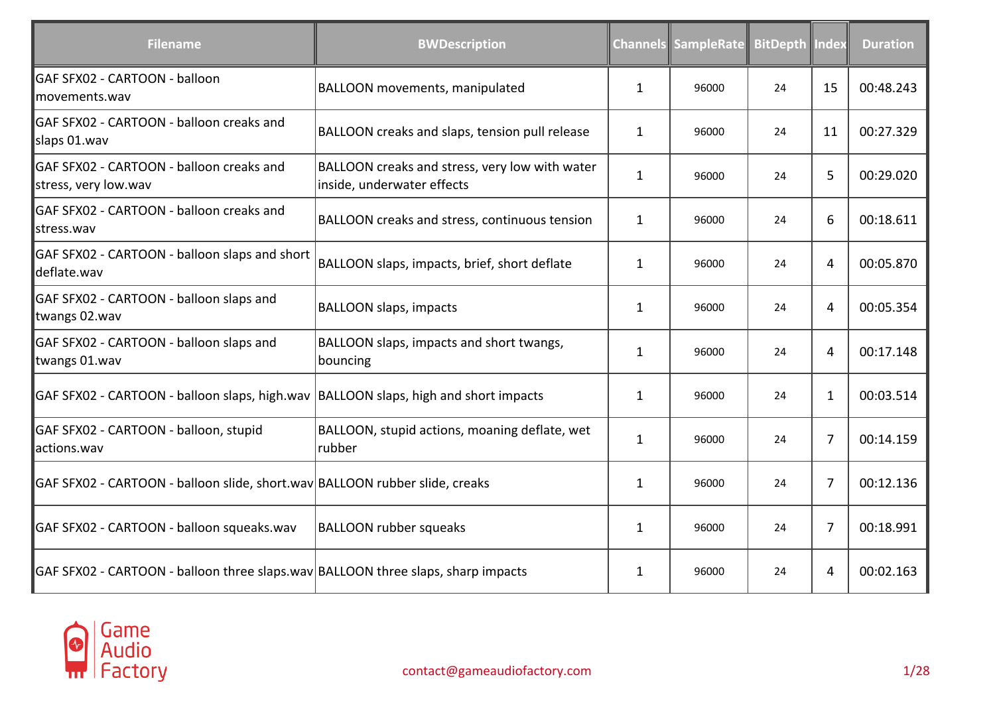| <b>Filename</b>                                                                       | <b>BWDescription</b>                                                         |              | <b>Channels SampleRate</b> | <b>BitDepth Index</b> |                | <b>Duration</b> |
|---------------------------------------------------------------------------------------|------------------------------------------------------------------------------|--------------|----------------------------|-----------------------|----------------|-----------------|
| GAF SFX02 - CARTOON - balloon<br>movements.wav                                        | <b>BALLOON</b> movements, manipulated                                        | $\mathbf{1}$ | 96000                      | 24                    | 15             | 00:48.243       |
| GAF SFX02 - CARTOON - balloon creaks and<br>slaps 01.wav                              | BALLOON creaks and slaps, tension pull release                               | 1            | 96000                      | 24                    | 11             | 00:27.329       |
| GAF SFX02 - CARTOON - balloon creaks and<br>stress, very low.wav                      | BALLOON creaks and stress, very low with water<br>inside, underwater effects | $\mathbf{1}$ | 96000                      | 24                    | 5              | 00:29.020       |
| GAF SFX02 - CARTOON - balloon creaks and<br>lstress.wav                               | BALLOON creaks and stress, continuous tension                                | 1            | 96000                      | 24                    | 6              | 00:18.611       |
| GAF SFX02 - CARTOON - balloon slaps and short<br>deflate.wav                          | BALLOON slaps, impacts, brief, short deflate                                 | $\mathbf{1}$ | 96000                      | 24                    | 4              | 00:05.870       |
| GAF SFX02 - CARTOON - balloon slaps and<br>twangs 02.wav                              | <b>BALLOON slaps, impacts</b>                                                | 1            | 96000                      | 24                    | 4              | 00:05.354       |
| GAF SFX02 - CARTOON - balloon slaps and<br>twangs 01.wav                              | BALLOON slaps, impacts and short twangs,<br>bouncing                         | $\mathbf{1}$ | 96000                      | 24                    | 4              | 00:17.148       |
| GAF SFX02 - CARTOON - balloon slaps, high.wav   BALLOON slaps, high and short impacts |                                                                              | $\mathbf{1}$ | 96000                      | 24                    | 1              | 00:03.514       |
| GAF SFX02 - CARTOON - balloon, stupid<br>actions.wav                                  | BALLOON, stupid actions, moaning deflate, wet<br>rubber                      | $\mathbf{1}$ | 96000                      | 24                    | $\overline{7}$ | 00:14.159       |
| GAF SFX02 - CARTOON - balloon slide, short.wav BALLOON rubber slide, creaks           |                                                                              | $\mathbf{1}$ | 96000                      | 24                    | 7              | 00:12.136       |
| GAF SFX02 - CARTOON - balloon squeaks.wav                                             | <b>BALLOON rubber squeaks</b>                                                | $\mathbf{1}$ | 96000                      | 24                    | 7              | 00:18.991       |
| GAF SFX02 - CARTOON - balloon three slaps.wav BALLOON three slaps, sharp impacts      |                                                                              | 1            | 96000                      | 24                    | 4              | 00:02.163       |

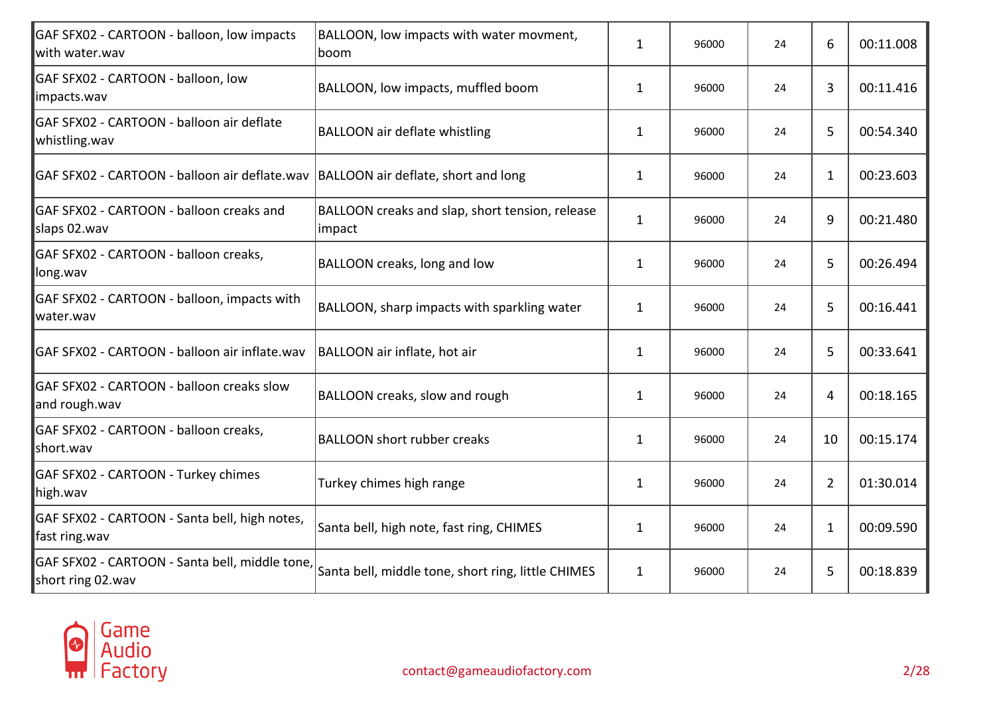| GAF SFX02 - CARTOON - balloon, low impacts<br>with water.wav        | BALLOON, low impacts with water movment,<br>boom          | $\mathbf{1}$ | 96000 | 24 | 6  | 00:11.008 |
|---------------------------------------------------------------------|-----------------------------------------------------------|--------------|-------|----|----|-----------|
| GAF SFX02 - CARTOON - balloon, low<br>impacts.wav                   | BALLOON, low impacts, muffled boom                        | $\mathbf{1}$ | 96000 | 24 | 3  | 00:11.416 |
| GAF SFX02 - CARTOON - balloon air deflate<br>whistling.wav          | <b>BALLOON air deflate whistling</b>                      | 1            | 96000 | 24 | 5  | 00:54.340 |
| GAF SFX02 - CARTOON - balloon air deflate.wav                       | BALLOON air deflate, short and long                       | $\mathbf{1}$ | 96000 | 24 | 1  | 00:23.603 |
| GAF SFX02 - CARTOON - balloon creaks and<br>slaps 02.wav            | BALLOON creaks and slap, short tension, release<br>impact | $\mathbf{1}$ | 96000 | 24 | 9  | 00:21.480 |
| GAF SFX02 - CARTOON - balloon creaks,<br>long.wav                   | BALLOON creaks, long and low                              | $\mathbf{1}$ | 96000 | 24 | 5  | 00:26.494 |
| GAF SFX02 - CARTOON - balloon, impacts with<br>water.wav            | BALLOON, sharp impacts with sparkling water               | $\mathbf{1}$ | 96000 | 24 | 5  | 00:16.441 |
| GAF SFX02 - CARTOON - balloon air inflate.wav                       | BALLOON air inflate, hot air                              | $\mathbf{1}$ | 96000 | 24 | 5  | 00:33.641 |
| GAF SFX02 - CARTOON - balloon creaks slow<br>and rough.wav          | BALLOON creaks, slow and rough                            | $\mathbf{1}$ | 96000 | 24 | 4  | 00:18.165 |
| GAF SFX02 - CARTOON - balloon creaks,<br>short.wav                  | <b>BALLOON short rubber creaks</b>                        | $\mathbf{1}$ | 96000 | 24 | 10 | 00:15.174 |
| GAF SFX02 - CARTOON - Turkey chimes<br>high.wav                     | Turkey chimes high range                                  | $\mathbf{1}$ | 96000 | 24 | 2  | 01:30.014 |
| GAF SFX02 - CARTOON - Santa bell, high notes,<br>fast ring.wav      | Santa bell, high note, fast ring, CHIMES                  | $\mathbf{1}$ | 96000 | 24 | 1  | 00:09.590 |
| GAF SFX02 - CARTOON - Santa bell, middle tone,<br>short ring 02.wav | Santa bell, middle tone, short ring, little CHIMES        | $\mathbf{1}$ | 96000 | 24 | 5  | 00:18.839 |

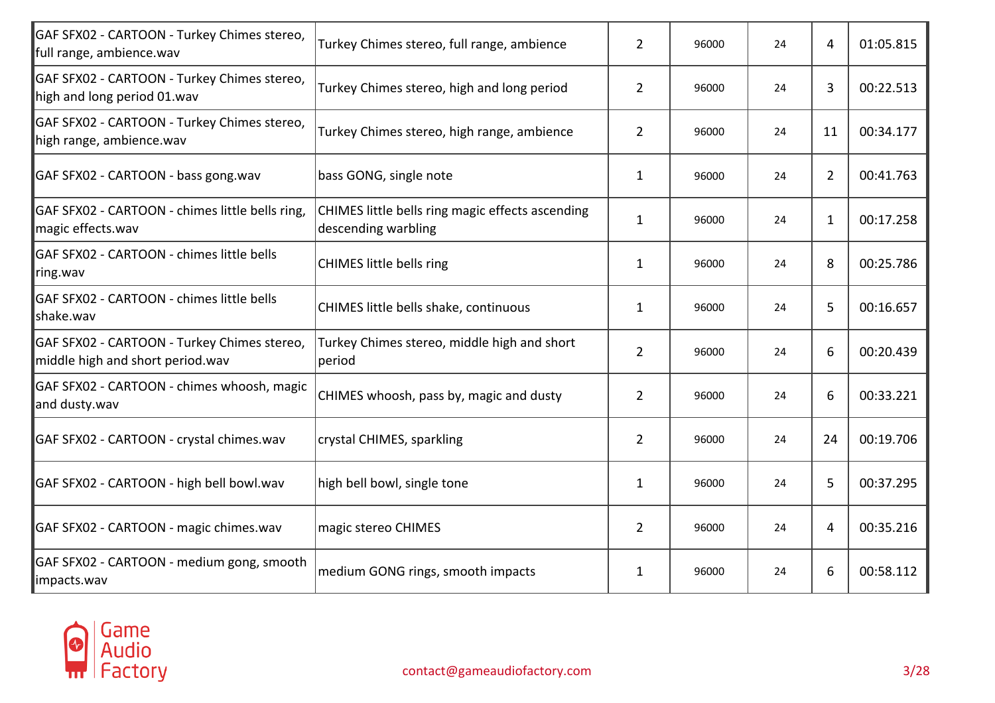| GAF SFX02 - CARTOON - Turkey Chimes stereo,<br>full range, ambience.wav         | Turkey Chimes stereo, full range, ambience                              | $\overline{2}$ | 96000 | 24 | 4            | 01:05.815 |
|---------------------------------------------------------------------------------|-------------------------------------------------------------------------|----------------|-------|----|--------------|-----------|
| GAF SFX02 - CARTOON - Turkey Chimes stereo,<br>high and long period 01.wav      | Turkey Chimes stereo, high and long period                              | $\overline{2}$ | 96000 | 24 | 3            | 00:22.513 |
| GAF SFX02 - CARTOON - Turkey Chimes stereo,<br>high range, ambience.wav         | Turkey Chimes stereo, high range, ambience                              | $\overline{2}$ | 96000 | 24 | 11           | 00:34.177 |
| GAF SFX02 - CARTOON - bass gong.wav                                             | bass GONG, single note                                                  | $\mathbf{1}$   | 96000 | 24 | 2            | 00:41.763 |
| GAF SFX02 - CARTOON - chimes little bells ring,<br>magic effects.wav            | CHIMES little bells ring magic effects ascending<br>descending warbling | $\mathbf{1}$   | 96000 | 24 | $\mathbf{1}$ | 00:17.258 |
| GAF SFX02 - CARTOON - chimes little bells<br>ring.wav                           | <b>CHIMES little bells ring</b>                                         | $\mathbf{1}$   | 96000 | 24 | 8            | 00:25.786 |
| GAF SFX02 - CARTOON - chimes little bells<br>shake.wav                          | CHIMES little bells shake, continuous                                   | 1              | 96000 | 24 | 5            | 00:16.657 |
| GAF SFX02 - CARTOON - Turkey Chimes stereo,<br>middle high and short period.wav | Turkey Chimes stereo, middle high and short<br>period                   | $\overline{2}$ | 96000 | 24 | 6            | 00:20.439 |
| GAF SFX02 - CARTOON - chimes whoosh, magic<br>and dusty.wav                     | CHIMES whoosh, pass by, magic and dusty                                 | $\overline{2}$ | 96000 | 24 | 6            | 00:33.221 |
| GAF SFX02 - CARTOON - crystal chimes.wav                                        | crystal CHIMES, sparkling                                               | $\overline{2}$ | 96000 | 24 | 24           | 00:19.706 |
| GAF SFX02 - CARTOON - high bell bowl.wav                                        | high bell bowl, single tone                                             | $\mathbf{1}$   | 96000 | 24 | 5            | 00:37.295 |
| GAF SFX02 - CARTOON - magic chimes.wav                                          | magic stereo CHIMES                                                     | $\overline{2}$ | 96000 | 24 | 4            | 00:35.216 |
| GAF SFX02 - CARTOON - medium gong, smooth<br>impacts.wav                        | medium GONG rings, smooth impacts                                       | 1              | 96000 | 24 | 6            | 00:58.112 |

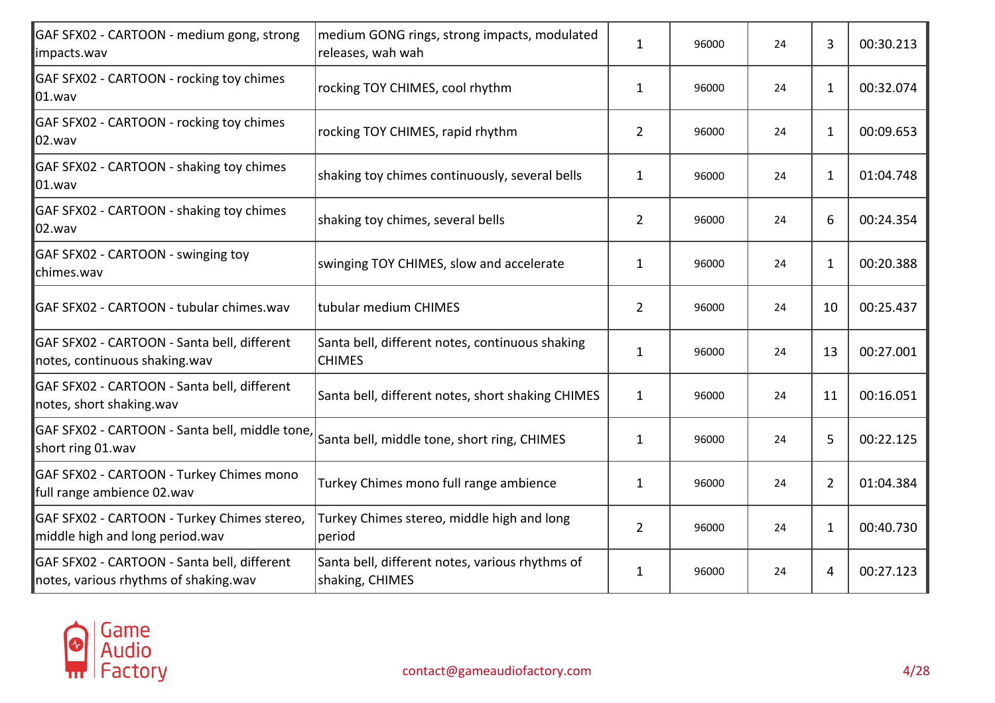| GAF SFX02 - CARTOON - medium gong, strong<br>impacts.wav                             | medium GONG rings, strong impacts, modulated<br>releases, wah wah  | $\mathbf{1}$   | 96000 | 24 | 3            | 00:30.213 |
|--------------------------------------------------------------------------------------|--------------------------------------------------------------------|----------------|-------|----|--------------|-----------|
| GAF SFX02 - CARTOON - rocking toy chimes<br>$ 01$ .wav                               | rocking TOY CHIMES, cool rhythm                                    | $\mathbf{1}$   | 96000 | 24 | 1            | 00:32.074 |
| GAF SFX02 - CARTOON - rocking toy chimes<br>02.wav                                   | rocking TOY CHIMES, rapid rhythm                                   | $\overline{2}$ | 96000 | 24 | $\mathbf{1}$ | 00:09.653 |
| GAF SFX02 - CARTOON - shaking toy chimes<br>$ 01$ .wav                               | shaking toy chimes continuously, several bells                     | $\mathbf{1}$   | 96000 | 24 | 1            | 01:04.748 |
| GAF SFX02 - CARTOON - shaking toy chimes<br>02.wav                                   | shaking toy chimes, several bells                                  | $\overline{2}$ | 96000 | 24 | 6            | 00:24.354 |
| GAF SFX02 - CARTOON - swinging toy<br>chimes.wav                                     | swinging TOY CHIMES, slow and accelerate                           | $\mathbf{1}$   | 96000 | 24 | $\mathbf{1}$ | 00:20.388 |
| GAF SFX02 - CARTOON - tubular chimes.wav                                             | tubular medium CHIMES                                              | $\overline{2}$ | 96000 | 24 | 10           | 00:25.437 |
| GAF SFX02 - CARTOON - Santa bell, different<br>notes, continuous shaking.wav         | Santa bell, different notes, continuous shaking<br><b>CHIMES</b>   | $\mathbf{1}$   | 96000 | 24 | 13           | 00:27.001 |
| GAF SFX02 - CARTOON - Santa bell, different<br>notes, short shaking.wav              | Santa bell, different notes, short shaking CHIMES                  | $\mathbf{1}$   | 96000 | 24 | 11           | 00:16.051 |
| GAF SFX02 - CARTOON - Santa bell, middle tone,<br>short ring 01.wav                  | Santa bell, middle tone, short ring, CHIMES                        | $\mathbf{1}$   | 96000 | 24 | 5            | 00:22.125 |
| GAF SFX02 - CARTOON - Turkey Chimes mono<br>full range ambience 02.wav               | Turkey Chimes mono full range ambience                             | $\mathbf{1}$   | 96000 | 24 | 2            | 01:04.384 |
| GAF SFX02 - CARTOON - Turkey Chimes stereo,<br>middle high and long period.wav       | Turkey Chimes stereo, middle high and long<br>period               | $\overline{2}$ | 96000 | 24 | $\mathbf{1}$ | 00:40.730 |
| GAF SFX02 - CARTOON - Santa bell, different<br>notes, various rhythms of shaking.wav | Santa bell, different notes, various rhythms of<br>shaking, CHIMES | $\mathbf{1}$   | 96000 | 24 | 4            | 00:27.123 |

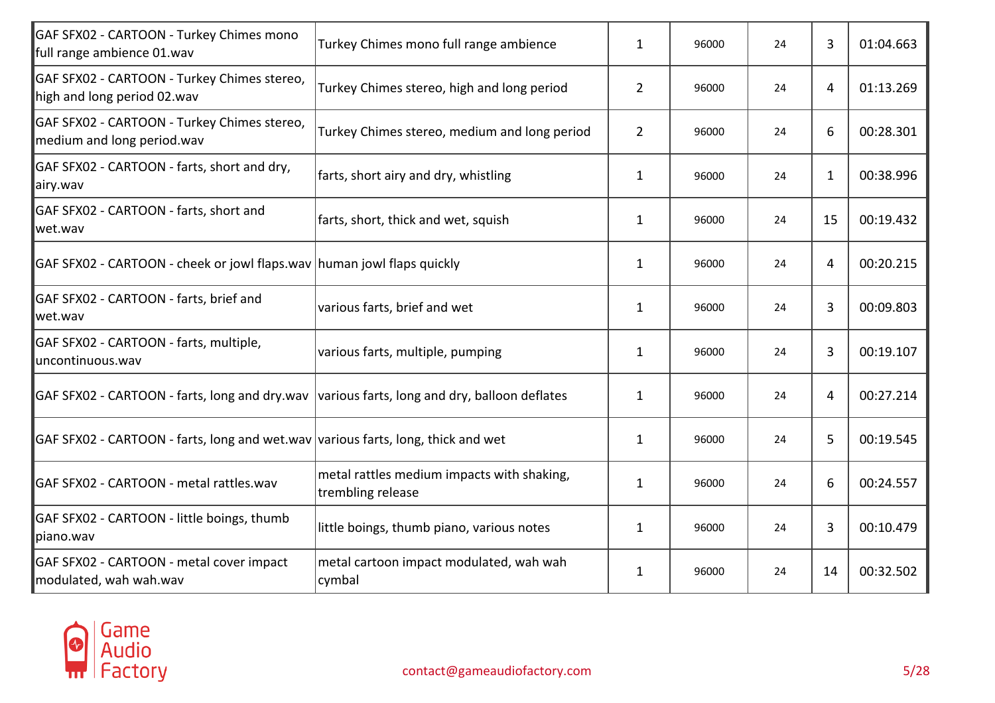| Turkey Chimes mono full range ambience                          | $\mathbf{1}$                                                                                                                                                                                                                                              | 96000 | 24 | 3            | 01:04.663 |
|-----------------------------------------------------------------|-----------------------------------------------------------------------------------------------------------------------------------------------------------------------------------------------------------------------------------------------------------|-------|----|--------------|-----------|
| Turkey Chimes stereo, high and long period                      | $\overline{2}$                                                                                                                                                                                                                                            | 96000 | 24 | 4            | 01:13.269 |
| Turkey Chimes stereo, medium and long period                    | 2                                                                                                                                                                                                                                                         | 96000 | 24 | 6            | 00:28.301 |
| farts, short airy and dry, whistling                            | $\mathbf{1}$                                                                                                                                                                                                                                              | 96000 | 24 | $\mathbf{1}$ | 00:38.996 |
| farts, short, thick and wet, squish                             | 1                                                                                                                                                                                                                                                         | 96000 | 24 | 15           | 00:19.432 |
|                                                                 | $\mathbf{1}$                                                                                                                                                                                                                                              | 96000 | 24 | 4            | 00:20.215 |
| various farts, brief and wet                                    | $\mathbf{1}$                                                                                                                                                                                                                                              | 96000 | 24 | 3            | 00:09.803 |
| various farts, multiple, pumping                                | $\mathbf{1}$                                                                                                                                                                                                                                              | 96000 | 24 | 3            | 00:19.107 |
|                                                                 | $\mathbf{1}$                                                                                                                                                                                                                                              | 96000 | 24 | 4            | 00:27.214 |
|                                                                 | $\mathbf{1}$                                                                                                                                                                                                                                              | 96000 | 24 | 5            | 00:19.545 |
| metal rattles medium impacts with shaking,<br>trembling release | $\mathbf{1}$                                                                                                                                                                                                                                              | 96000 | 24 | 6            | 00:24.557 |
| little boings, thumb piano, various notes                       | $\mathbf{1}$                                                                                                                                                                                                                                              | 96000 | 24 | 3            | 00:10.479 |
| metal cartoon impact modulated, wah wah<br>cymbal               | $\mathbf{1}$                                                                                                                                                                                                                                              | 96000 | 24 | 14           | 00:32.502 |
|                                                                 | GAF SFX02 - CARTOON - cheek or jowl flaps.wav human jowl flaps quickly<br>GAF SFX02 - CARTOON - farts, long and dry.wav various farts, long and dry, balloon deflates<br>GAF SFX02 - CARTOON - farts, long and wet.wav various farts, long, thick and wet |       |    |              |           |

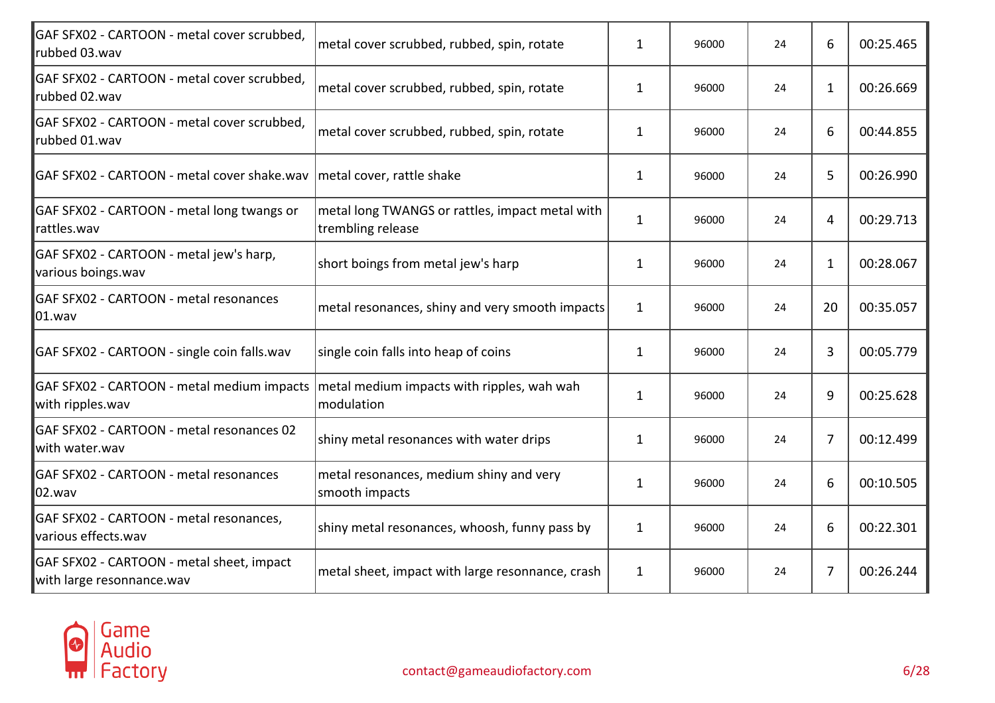| GAF SFX02 - CARTOON - metal cover scrubbed,<br>rubbed 03.wav           | metal cover scrubbed, rubbed, spin, rotate                           | $\mathbf{1}$ | 96000 | 24 | 6  | 00:25.465 |
|------------------------------------------------------------------------|----------------------------------------------------------------------|--------------|-------|----|----|-----------|
| GAF SFX02 - CARTOON - metal cover scrubbed,<br>rubbed 02.wav           | metal cover scrubbed, rubbed, spin, rotate                           | $\mathbf{1}$ | 96000 | 24 | 1  | 00:26.669 |
| GAF SFX02 - CARTOON - metal cover scrubbed,<br>rubbed 01.wav           | metal cover scrubbed, rubbed, spin, rotate                           | 1            | 96000 | 24 | 6  | 00:44.855 |
| GAF SFX02 - CARTOON - metal cover shake.wav                            | metal cover, rattle shake                                            | 1            | 96000 | 24 | 5  | 00:26.990 |
| GAF SFX02 - CARTOON - metal long twangs or<br>rattles.wav              | metal long TWANGS or rattles, impact metal with<br>trembling release | $\mathbf{1}$ | 96000 | 24 | 4  | 00:29.713 |
| GAF SFX02 - CARTOON - metal jew's harp,<br>various boings.wav          | short boings from metal jew's harp                                   | $\mathbf{1}$ | 96000 | 24 | 1  | 00:28.067 |
| GAF SFX02 - CARTOON - metal resonances<br>01.wav                       | metal resonances, shiny and very smooth impacts                      | $\mathbf{1}$ | 96000 | 24 | 20 | 00:35.057 |
| GAF SFX02 - CARTOON - single coin falls.wav                            | single coin falls into heap of coins                                 | $\mathbf{1}$ | 96000 | 24 | 3  | 00:05.779 |
| GAF SFX02 - CARTOON - metal medium impacts<br>with ripples.wav         | metal medium impacts with ripples, wah wah<br>modulation             | $\mathbf{1}$ | 96000 | 24 | 9  | 00:25.628 |
| GAF SFX02 - CARTOON - metal resonances 02<br>with water.wav            | shiny metal resonances with water drips                              | $\mathbf{1}$ | 96000 | 24 | 7  | 00:12.499 |
| GAF SFX02 - CARTOON - metal resonances<br>02.wav                       | metal resonances, medium shiny and very<br>smooth impacts            | $\mathbf{1}$ | 96000 | 24 | 6  | 00:10.505 |
| GAF SFX02 - CARTOON - metal resonances,<br>various effects.wav         | shiny metal resonances, whoosh, funny pass by                        | $\mathbf{1}$ | 96000 | 24 | 6  | 00:22.301 |
| GAF SFX02 - CARTOON - metal sheet, impact<br>with large resonnance.wav | metal sheet, impact with large resonnance, crash                     | $\mathbf{1}$ | 96000 | 24 | 7  | 00:26.244 |

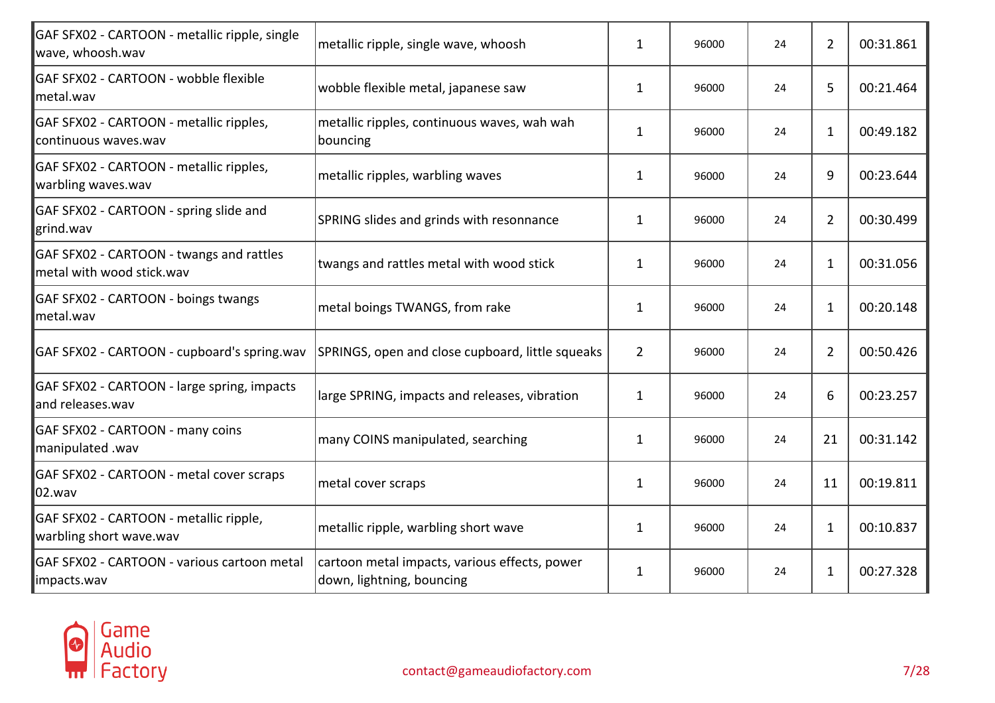| GAF SFX02 - CARTOON - metallic ripple, single<br>wave, whoosh.wav     | metallic ripple, single wave, whoosh                                       | $\mathbf{1}$   | 96000 | 24 | 2            | 00:31.861 |
|-----------------------------------------------------------------------|----------------------------------------------------------------------------|----------------|-------|----|--------------|-----------|
| GAF SFX02 - CARTOON - wobble flexible<br>metal.wav                    | wobble flexible metal, japanese saw                                        | $\mathbf{1}$   | 96000 | 24 | 5            | 00:21.464 |
| GAF SFX02 - CARTOON - metallic ripples,<br>continuous waves.wav       | metallic ripples, continuous waves, wah wah<br>bouncing                    | $\mathbf{1}$   | 96000 | 24 | 1            | 00:49.182 |
| GAF SFX02 - CARTOON - metallic ripples,<br>warbling waves.wav         | metallic ripples, warbling waves                                           | 1              | 96000 | 24 | 9            | 00:23.644 |
| GAF SFX02 - CARTOON - spring slide and<br>grind.wav                   | SPRING slides and grinds with resonnance                                   | $\mathbf{1}$   | 96000 | 24 | 2            | 00:30.499 |
| GAF SFX02 - CARTOON - twangs and rattles<br>metal with wood stick.wav | twangs and rattles metal with wood stick                                   | $\mathbf{1}$   | 96000 | 24 | 1            | 00:31.056 |
| GAF SFX02 - CARTOON - boings twangs<br>lmetal.wav                     | metal boings TWANGS, from rake                                             | $\mathbf{1}$   | 96000 | 24 | 1            | 00:20.148 |
| GAF SFX02 - CARTOON - cupboard's spring.wav                           | SPRINGS, open and close cupboard, little squeaks                           | $\overline{2}$ | 96000 | 24 | 2            | 00:50.426 |
| GAF SFX02 - CARTOON - large spring, impacts<br>and releases.wav       | large SPRING, impacts and releases, vibration                              | $\mathbf{1}$   | 96000 | 24 | 6            | 00:23.257 |
| GAF SFX02 - CARTOON - many coins<br>manipulated .wav                  | many COINS manipulated, searching                                          | $\mathbf{1}$   | 96000 | 24 | 21           | 00:31.142 |
| GAF SFX02 - CARTOON - metal cover scraps<br>02.wav                    | metal cover scraps                                                         | $\mathbf{1}$   | 96000 | 24 | 11           | 00:19.811 |
| GAF SFX02 - CARTOON - metallic ripple,<br>warbling short wave.wav     | metallic ripple, warbling short wave                                       | $\mathbf{1}$   | 96000 | 24 | $\mathbf{1}$ | 00:10.837 |
| GAF SFX02 - CARTOON - various cartoon metal<br>impacts.wav            | cartoon metal impacts, various effects, power<br>down, lightning, bouncing | $\mathbf{1}$   | 96000 | 24 | 1            | 00:27.328 |

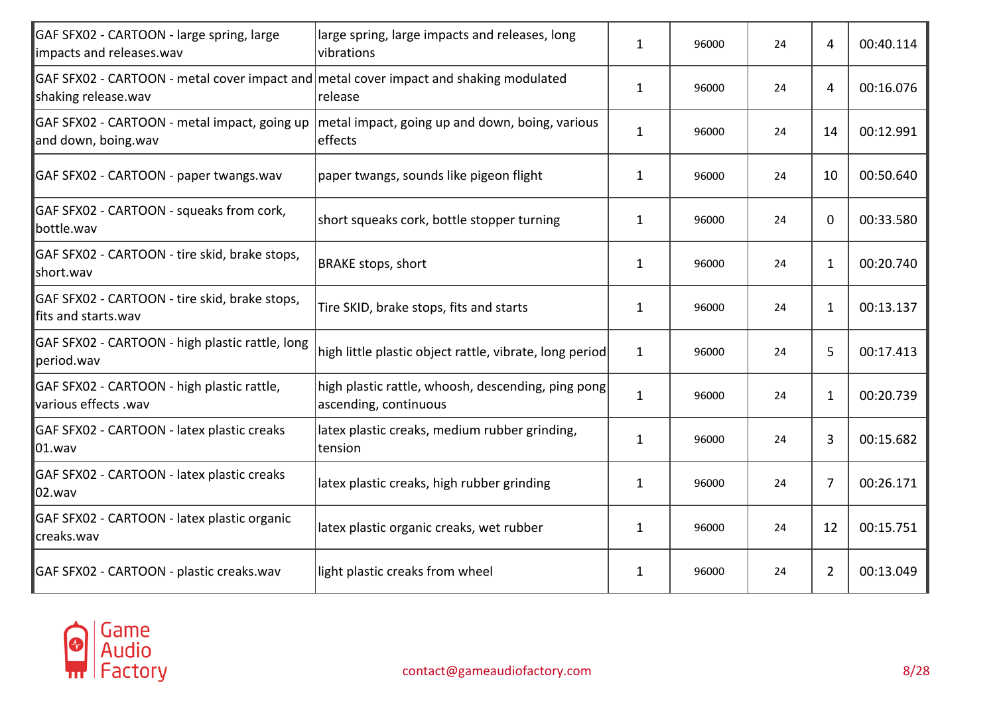| GAF SFX02 - CARTOON - large spring, large<br>impacts and releases.wav                                        | large spring, large impacts and releases, long<br>vibrations                | $\mathbf{1}$ | 96000 | 24 | 4            | 00:40.114 |
|--------------------------------------------------------------------------------------------------------------|-----------------------------------------------------------------------------|--------------|-------|----|--------------|-----------|
| GAF SFX02 - CARTOON - metal cover impact and metal cover impact and shaking modulated<br>shaking release.wav | release                                                                     | $\mathbf{1}$ | 96000 | 24 | 4            | 00:16.076 |
| GAF SFX02 - CARTOON - metal impact, going up<br>and down, boing.wav                                          | metal impact, going up and down, boing, various<br>effects                  | $\mathbf{1}$ | 96000 | 24 | 14           | 00:12.991 |
| GAF SFX02 - CARTOON - paper twangs.wav                                                                       | paper twangs, sounds like pigeon flight                                     | 1            | 96000 | 24 | 10           | 00:50.640 |
| GAF SFX02 - CARTOON - squeaks from cork,<br>bottle.wav                                                       | short squeaks cork, bottle stopper turning                                  | $\mathbf{1}$ | 96000 | 24 | $\mathbf 0$  | 00:33.580 |
| GAF SFX02 - CARTOON - tire skid, brake stops,<br>short.wav                                                   | <b>BRAKE stops, short</b>                                                   | $\mathbf{1}$ | 96000 | 24 | 1            | 00:20.740 |
| GAF SFX02 - CARTOON - tire skid, brake stops,<br>fits and starts.wav                                         | Tire SKID, brake stops, fits and starts                                     | $\mathbf{1}$ | 96000 | 24 | $\mathbf{1}$ | 00:13.137 |
| GAF SFX02 - CARTOON - high plastic rattle, long<br>period.wav                                                | high little plastic object rattle, vibrate, long period                     | $\mathbf{1}$ | 96000 | 24 | 5            | 00:17.413 |
| GAF SFX02 - CARTOON - high plastic rattle,<br>various effects .wav                                           | high plastic rattle, whoosh, descending, ping pong<br>ascending, continuous | $\mathbf{1}$ | 96000 | 24 | $\mathbf{1}$ | 00:20.739 |
| GAF SFX02 - CARTOON - latex plastic creaks<br>$ 01$ .wav                                                     | latex plastic creaks, medium rubber grinding,<br>tension                    | $\mathbf{1}$ | 96000 | 24 | 3            | 00:15.682 |
| GAF SFX02 - CARTOON - latex plastic creaks<br>02.wav                                                         | latex plastic creaks, high rubber grinding                                  | $\mathbf{1}$ | 96000 | 24 | 7            | 00:26.171 |
| GAF SFX02 - CARTOON - latex plastic organic<br>creaks.wav                                                    | latex plastic organic creaks, wet rubber                                    | $\mathbf{1}$ | 96000 | 24 | 12           | 00:15.751 |
| GAF SFX02 - CARTOON - plastic creaks.wav                                                                     | light plastic creaks from wheel                                             | 1            | 96000 | 24 | 2            | 00:13.049 |

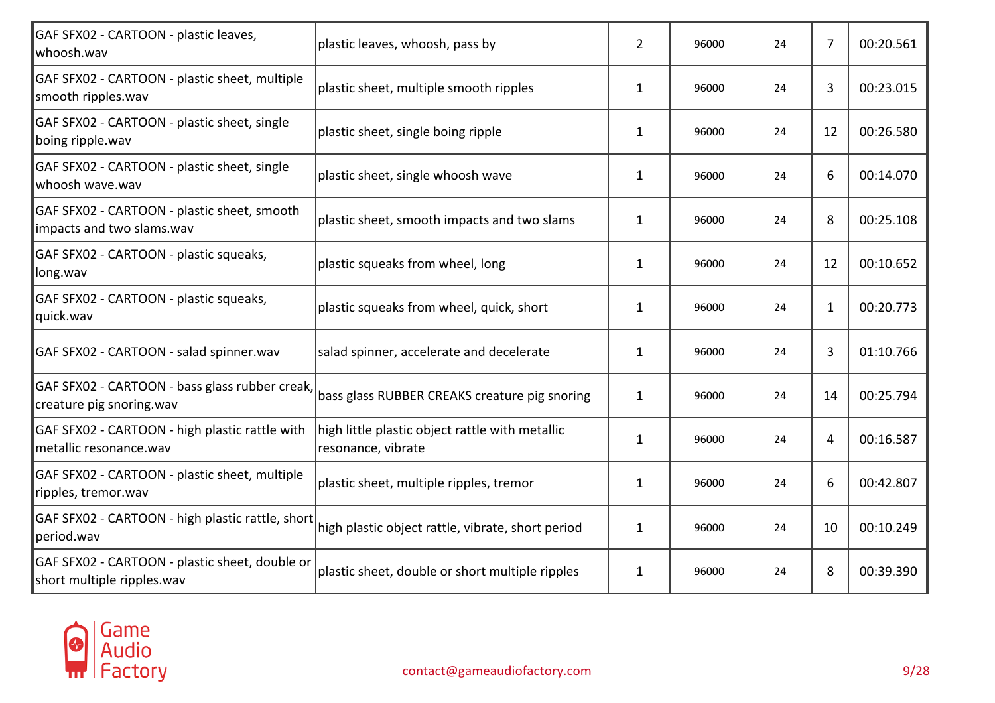| GAF SFX02 - CARTOON - plastic leaves,<br>whoosh.wav                          | plastic leaves, whoosh, pass by                                       | $\overline{2}$ | 96000 | 24 | 7  | 00:20.561 |
|------------------------------------------------------------------------------|-----------------------------------------------------------------------|----------------|-------|----|----|-----------|
| GAF SFX02 - CARTOON - plastic sheet, multiple<br>smooth ripples.wav          | plastic sheet, multiple smooth ripples                                | $\mathbf{1}$   | 96000 | 24 | 3  | 00:23.015 |
| GAF SFX02 - CARTOON - plastic sheet, single<br>boing ripple.wav              | plastic sheet, single boing ripple                                    | $\mathbf{1}$   | 96000 | 24 | 12 | 00:26.580 |
| GAF SFX02 - CARTOON - plastic sheet, single<br>whoosh wave.wav               | plastic sheet, single whoosh wave                                     | $\mathbf{1}$   | 96000 | 24 | 6  | 00:14.070 |
| GAF SFX02 - CARTOON - plastic sheet, smooth<br>impacts and two slams.wav     | plastic sheet, smooth impacts and two slams                           | 1              | 96000 | 24 | 8  | 00:25.108 |
| GAF SFX02 - CARTOON - plastic squeaks,<br>long.wav                           | plastic squeaks from wheel, long                                      | $\mathbf{1}$   | 96000 | 24 | 12 | 00:10.652 |
| GAF SFX02 - CARTOON - plastic squeaks,<br>quick.wav                          | plastic squeaks from wheel, quick, short                              | 1              | 96000 | 24 | 1  | 00:20.773 |
| GAF SFX02 - CARTOON - salad spinner.wav                                      | salad spinner, accelerate and decelerate                              | $\mathbf{1}$   | 96000 | 24 | 3  | 01:10.766 |
| GAF SFX02 - CARTOON - bass glass rubber creak,<br>creature pig snoring.wav   | bass glass RUBBER CREAKS creature pig snoring                         | $\mathbf{1}$   | 96000 | 24 | 14 | 00:25.794 |
| GAF SFX02 - CARTOON - high plastic rattle with<br>metallic resonance.wav     | high little plastic object rattle with metallic<br>resonance, vibrate | $\mathbf{1}$   | 96000 | 24 | 4  | 00:16.587 |
| GAF SFX02 - CARTOON - plastic sheet, multiple<br>ripples, tremor.wav         | plastic sheet, multiple ripples, tremor                               | $\mathbf{1}$   | 96000 | 24 | 6  | 00:42.807 |
| GAF SFX02 - CARTOON - high plastic rattle, short<br>period.wav               | high plastic object rattle, vibrate, short period                     | $\mathbf{1}$   | 96000 | 24 | 10 | 00:10.249 |
| GAF SFX02 - CARTOON - plastic sheet, double or<br>short multiple ripples.wav | plastic sheet, double or short multiple ripples                       | $\mathbf{1}$   | 96000 | 24 | 8  | 00:39.390 |

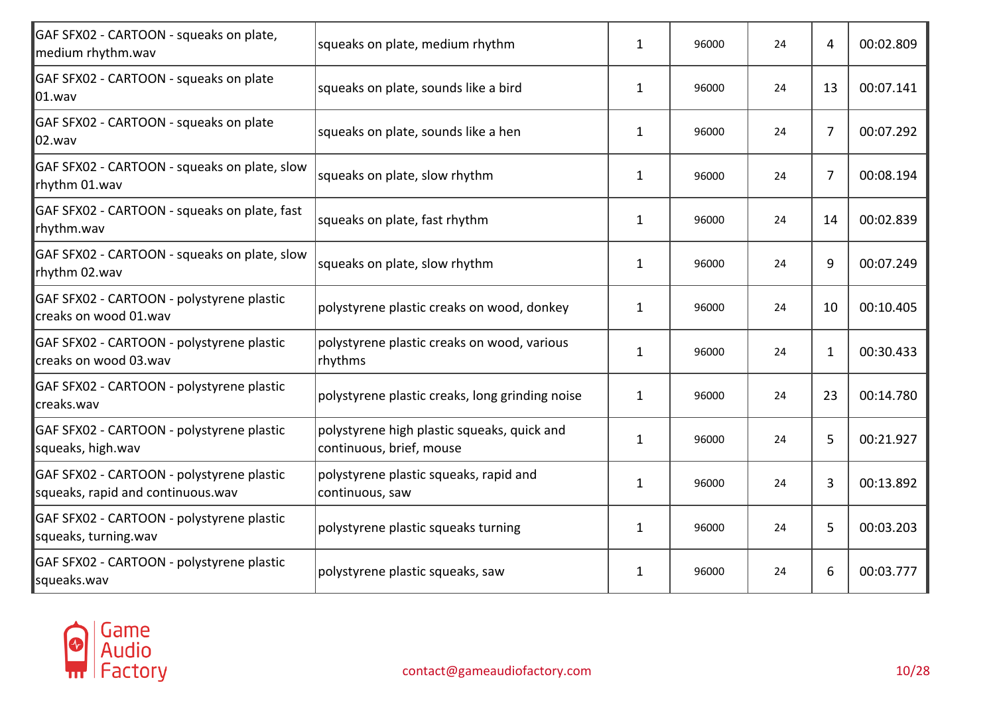| GAF SFX02 - CARTOON - squeaks on plate,<br>medium rhythm.wav                   | squeaks on plate, medium rhythm                                         | 1            | 96000 | 24 | 4  | 00:02.809 |
|--------------------------------------------------------------------------------|-------------------------------------------------------------------------|--------------|-------|----|----|-----------|
| GAF SFX02 - CARTOON - squeaks on plate<br>$\vert$ 01.wav                       | squeaks on plate, sounds like a bird                                    | $\mathbf{1}$ | 96000 | 24 | 13 | 00:07.141 |
| GAF SFX02 - CARTOON - squeaks on plate<br>$\vert$ 02.wav                       | squeaks on plate, sounds like a hen                                     | $\mathbf{1}$ | 96000 | 24 | 7  | 00:07.292 |
| GAF SFX02 - CARTOON - squeaks on plate, slow<br>rhythm 01.wav                  | squeaks on plate, slow rhythm                                           | $\mathbf{1}$ | 96000 | 24 | 7  | 00:08.194 |
| GAF SFX02 - CARTOON - squeaks on plate, fast<br>rhythm.wav                     | squeaks on plate, fast rhythm                                           | $\mathbf{1}$ | 96000 | 24 | 14 | 00:02.839 |
| GAF SFX02 - CARTOON - squeaks on plate, slow<br>rhythm 02.wav                  | squeaks on plate, slow rhythm                                           | $\mathbf{1}$ | 96000 | 24 | 9  | 00:07.249 |
| GAF SFX02 - CARTOON - polystyrene plastic<br>creaks on wood 01.wav             | polystyrene plastic creaks on wood, donkey                              | 1            | 96000 | 24 | 10 | 00:10.405 |
| GAF SFX02 - CARTOON - polystyrene plastic<br>creaks on wood 03.wav             | polystyrene plastic creaks on wood, various<br>rhythms                  | $\mathbf{1}$ | 96000 | 24 | 1  | 00:30.433 |
| GAF SFX02 - CARTOON - polystyrene plastic<br>creaks.wav                        | polystyrene plastic creaks, long grinding noise                         | $\mathbf{1}$ | 96000 | 24 | 23 | 00:14.780 |
| GAF SFX02 - CARTOON - polystyrene plastic<br>squeaks, high.wav                 | polystyrene high plastic squeaks, quick and<br>continuous, brief, mouse | 1            | 96000 | 24 | 5  | 00:21.927 |
| GAF SFX02 - CARTOON - polystyrene plastic<br>squeaks, rapid and continuous.wav | polystyrene plastic squeaks, rapid and<br>continuous, saw               | $\mathbf{1}$ | 96000 | 24 | 3  | 00:13.892 |
| GAF SFX02 - CARTOON - polystyrene plastic<br>squeaks, turning.wav              | polystyrene plastic squeaks turning                                     | $\mathbf{1}$ | 96000 | 24 | 5  | 00:03.203 |
| GAF SFX02 - CARTOON - polystyrene plastic<br>squeaks.wav                       | polystyrene plastic squeaks, saw                                        | 1            | 96000 | 24 | 6  | 00:03.777 |
|                                                                                |                                                                         |              |       |    |    |           |

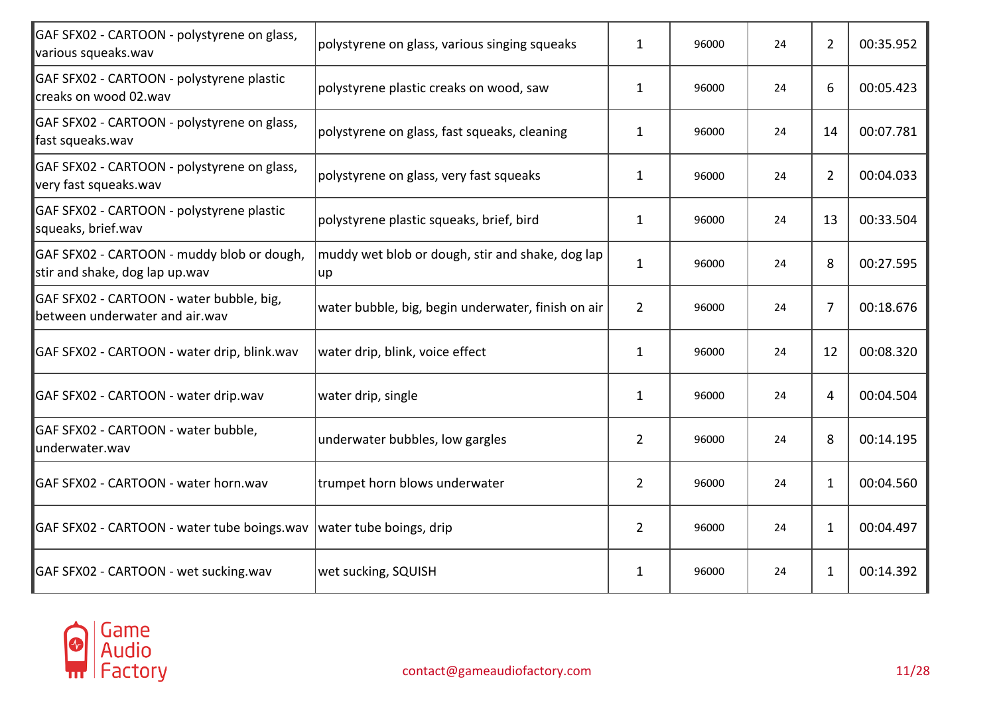| GAF SFX02 - CARTOON - polystyrene on glass,<br>various squeaks.wav           | polystyrene on glass, various singing squeaks           | $\mathbf{1}$   | 96000 | 24 | $\overline{2}$ | 00:35.952 |
|------------------------------------------------------------------------------|---------------------------------------------------------|----------------|-------|----|----------------|-----------|
| GAF SFX02 - CARTOON - polystyrene plastic<br>creaks on wood 02.wav           | polystyrene plastic creaks on wood, saw                 | $\mathbf{1}$   | 96000 | 24 | 6              | 00:05.423 |
| GAF SFX02 - CARTOON - polystyrene on glass,<br>fast squeaks.wav              | polystyrene on glass, fast squeaks, cleaning            | $\mathbf{1}$   | 96000 | 24 | 14             | 00:07.781 |
| GAF SFX02 - CARTOON - polystyrene on glass,<br>very fast squeaks.wav         | polystyrene on glass, very fast squeaks                 | $\mathbf{1}$   | 96000 | 24 | 2              | 00:04.033 |
| GAF SFX02 - CARTOON - polystyrene plastic<br>squeaks, brief.wav              | polystyrene plastic squeaks, brief, bird                | $\mathbf{1}$   | 96000 | 24 | 13             | 00:33.504 |
| GAF SFX02 - CARTOON - muddy blob or dough,<br>stir and shake, dog lap up.wav | muddy wet blob or dough, stir and shake, dog lap<br> up | $\mathbf{1}$   | 96000 | 24 | 8              | 00:27.595 |
| GAF SFX02 - CARTOON - water bubble, big,<br>between underwater and air.wav   | water bubble, big, begin underwater, finish on air      | $\overline{2}$ | 96000 | 24 | 7              | 00:18.676 |
| GAF SFX02 - CARTOON - water drip, blink.wav                                  | water drip, blink, voice effect                         | $\mathbf{1}$   | 96000 | 24 | 12             | 00:08.320 |
| GAF SFX02 - CARTOON - water drip.wav                                         | water drip, single                                      | $\mathbf{1}$   | 96000 | 24 | 4              | 00:04.504 |
| GAF SFX02 - CARTOON - water bubble,<br>underwater.wav                        | underwater bubbles, low gargles                         | $\overline{2}$ | 96000 | 24 | 8              | 00:14.195 |
| GAF SFX02 - CARTOON - water horn.wav                                         | trumpet horn blows underwater                           | $\overline{2}$ | 96000 | 24 | 1              | 00:04.560 |
| GAF SFX02 - CARTOON - water tube boings.wav                                  | water tube boings, drip                                 | $\overline{2}$ | 96000 | 24 | $\mathbf{1}$   | 00:04.497 |
| GAF SFX02 - CARTOON - wet sucking.wav                                        | wet sucking, SQUISH                                     | $\mathbf{1}$   | 96000 | 24 | 1              | 00:14.392 |

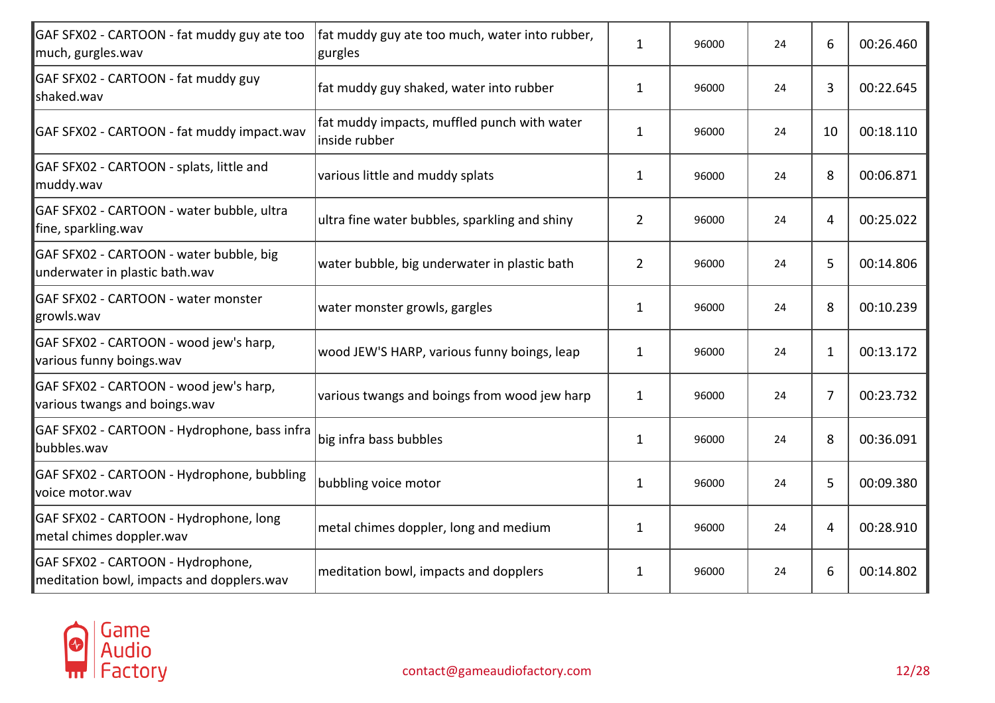| GAF SFX02 - CARTOON - fat muddy guy ate too<br>much, gurgles.wav               | fat muddy guy ate too much, water into rubber,<br>gurgles    | $\mathbf{1}$   | 96000 | 24 | 6  | 00:26.460 |
|--------------------------------------------------------------------------------|--------------------------------------------------------------|----------------|-------|----|----|-----------|
| GAF SFX02 - CARTOON - fat muddy guy<br>shaked.wav                              | fat muddy guy shaked, water into rubber                      | $\mathbf{1}$   | 96000 | 24 | 3  | 00:22.645 |
| GAF SFX02 - CARTOON - fat muddy impact.wav                                     | fat muddy impacts, muffled punch with water<br>inside rubber | 1              | 96000 | 24 | 10 | 00:18.110 |
| GAF SFX02 - CARTOON - splats, little and<br>muddy.wav                          | various little and muddy splats                              | $\mathbf{1}$   | 96000 | 24 | 8  | 00:06.871 |
| GAF SFX02 - CARTOON - water bubble, ultra<br>fine, sparkling.wav               | ultra fine water bubbles, sparkling and shiny                | $\overline{2}$ | 96000 | 24 | 4  | 00:25.022 |
| GAF SFX02 - CARTOON - water bubble, big<br>underwater in plastic bath.wav      | water bubble, big underwater in plastic bath                 | $\overline{2}$ | 96000 | 24 | 5  | 00:14.806 |
| GAF SFX02 - CARTOON - water monster<br>growls.wav                              | water monster growls, gargles                                | 1              | 96000 | 24 | 8  | 00:10.239 |
| GAF SFX02 - CARTOON - wood jew's harp,<br>various funny boings.wav             | wood JEW'S HARP, various funny boings, leap                  | $\mathbf{1}$   | 96000 | 24 | 1  | 00:13.172 |
| GAF SFX02 - CARTOON - wood jew's harp,<br>various twangs and boings.wav        | various twangs and boings from wood jew harp                 | $\mathbf{1}$   | 96000 | 24 | 7  | 00:23.732 |
| GAF SFX02 - CARTOON - Hydrophone, bass infra<br>bubbles.wav                    | big infra bass bubbles                                       | $\mathbf{1}$   | 96000 | 24 | 8  | 00:36.091 |
| GAF SFX02 - CARTOON - Hydrophone, bubbling<br>voice motor.wav                  | bubbling voice motor                                         | $\mathbf{1}$   | 96000 | 24 | 5  | 00:09.380 |
| GAF SFX02 - CARTOON - Hydrophone, long<br>metal chimes doppler.wav             | metal chimes doppler, long and medium                        | $\mathbf{1}$   | 96000 | 24 | 4  | 00:28.910 |
| GAF SFX02 - CARTOON - Hydrophone,<br>meditation bowl, impacts and dopplers.wav | meditation bowl, impacts and dopplers                        | $\mathbf{1}$   | 96000 | 24 | 6  | 00:14.802 |

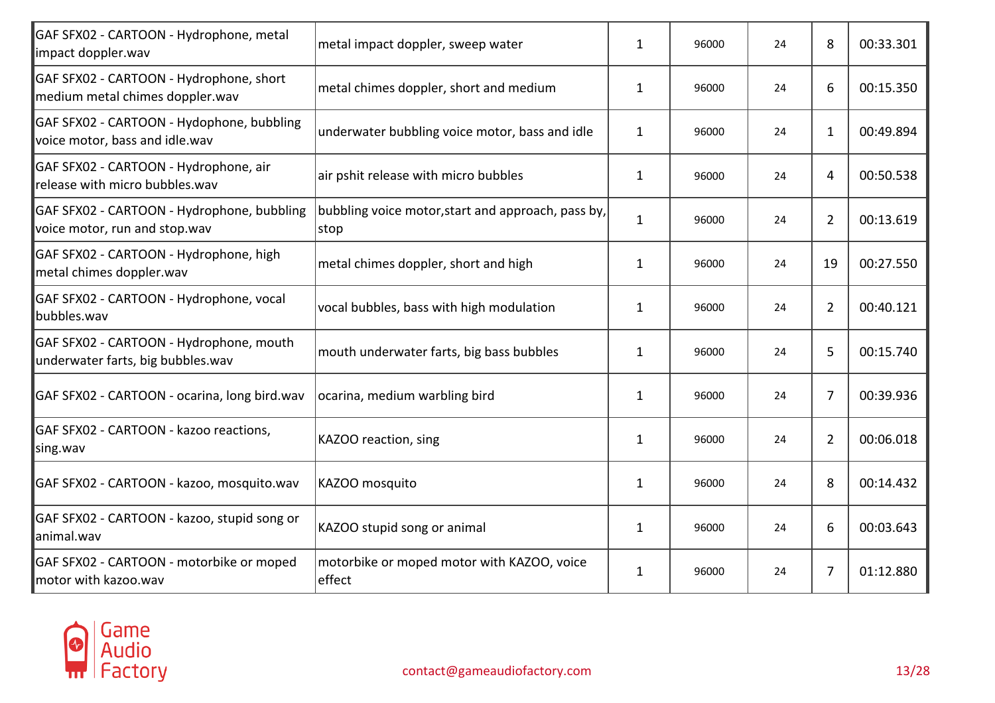| GAF SFX02 - CARTOON - Hydrophone, metal<br>impact doppler.wav                | metal impact doppler, sweep water                           | $\mathbf{1}$ | 96000 | 24 | 8              | 00:33.301 |
|------------------------------------------------------------------------------|-------------------------------------------------------------|--------------|-------|----|----------------|-----------|
| GAF SFX02 - CARTOON - Hydrophone, short<br>medium metal chimes doppler.wav   | metal chimes doppler, short and medium                      | $\mathbf{1}$ | 96000 | 24 | 6              | 00:15.350 |
| GAF SFX02 - CARTOON - Hydophone, bubbling<br>voice motor, bass and idle.wav  | underwater bubbling voice motor, bass and idle              | 1            | 96000 | 24 | $\mathbf{1}$   | 00:49.894 |
| GAF SFX02 - CARTOON - Hydrophone, air<br>release with micro bubbles.wav      | air pshit release with micro bubbles                        | 1            | 96000 | 24 | 4              | 00:50.538 |
| GAF SFX02 - CARTOON - Hydrophone, bubbling<br>voice motor, run and stop.wav  | bubbling voice motor, start and approach, pass by,<br> stop | $\mathbf{1}$ | 96000 | 24 | $\overline{2}$ | 00:13.619 |
| GAF SFX02 - CARTOON - Hydrophone, high<br>metal chimes doppler.wav           | metal chimes doppler, short and high                        | $\mathbf{1}$ | 96000 | 24 | 19             | 00:27.550 |
| GAF SFX02 - CARTOON - Hydrophone, vocal<br>bubbles.wav                       | vocal bubbles, bass with high modulation                    | $\mathbf{1}$ | 96000 | 24 | $\overline{2}$ | 00:40.121 |
| GAF SFX02 - CARTOON - Hydrophone, mouth<br>underwater farts, big bubbles.wav | mouth underwater farts, big bass bubbles                    | $\mathbf{1}$ | 96000 | 24 | 5              | 00:15.740 |
| GAF SFX02 - CARTOON - ocarina, long bird.wav                                 | ocarina, medium warbling bird                               | $\mathbf{1}$ | 96000 | 24 | $\overline{7}$ | 00:39.936 |
| GAF SFX02 - CARTOON - kazoo reactions,<br>sing.wav                           | KAZOO reaction, sing                                        | $\mathbf{1}$ | 96000 | 24 | $\overline{2}$ | 00:06.018 |
| GAF SFX02 - CARTOON - kazoo, mosquito.wav                                    | KAZOO mosquito                                              | $\mathbf{1}$ | 96000 | 24 | 8              | 00:14.432 |
| GAF SFX02 - CARTOON - kazoo, stupid song or<br>animal.wav                    | KAZOO stupid song or animal                                 | $\mathbf{1}$ | 96000 | 24 | 6              | 00:03.643 |
| GAF SFX02 - CARTOON - motorbike or moped<br>motor with kazoo.wav             | motorbike or moped motor with KAZOO, voice<br>effect        | $\mathbf{1}$ | 96000 | 24 | 7              | 01:12.880 |

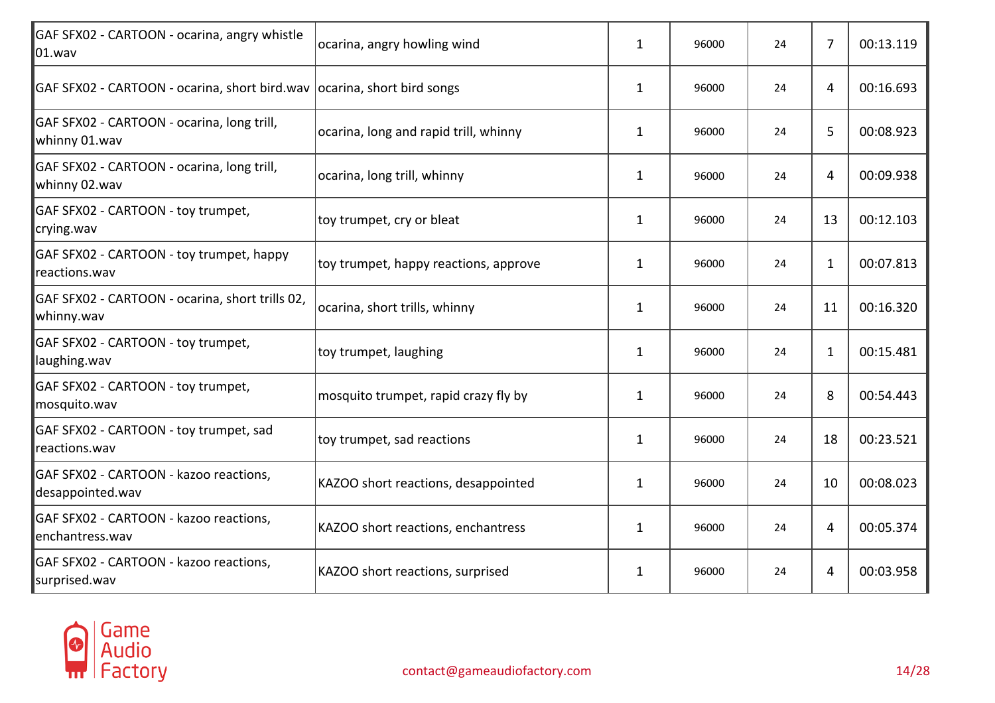| GAF SFX02 - CARTOON - ocarina, angry whistle<br>$ 01$ .wav              | ocarina, angry howling wind           | 1            | 96000 | 24 | 7              | 00:13.119 |
|-------------------------------------------------------------------------|---------------------------------------|--------------|-------|----|----------------|-----------|
| GAF SFX02 - CARTOON - ocarina, short bird wav ocarina, short bird songs |                                       | $\mathbf{1}$ | 96000 | 24 | $\overline{4}$ | 00:16.693 |
| GAF SFX02 - CARTOON - ocarina, long trill,<br>whinny 01.wav             | ocarina, long and rapid trill, whinny | 1            | 96000 | 24 | 5              | 00:08.923 |
| GAF SFX02 - CARTOON - ocarina, long trill,<br>whinny 02.wav             | ocarina, long trill, whinny           | 1            | 96000 | 24 | 4              | 00:09.938 |
| GAF SFX02 - CARTOON - toy trumpet,<br>crying.wav                        | toy trumpet, cry or bleat             | $\mathbf{1}$ | 96000 | 24 | 13             | 00:12.103 |
| GAF SFX02 - CARTOON - toy trumpet, happy<br>reactions.wav               | toy trumpet, happy reactions, approve | $\mathbf{1}$ | 96000 | 24 | $\mathbf{1}$   | 00:07.813 |
| GAF SFX02 - CARTOON - ocarina, short trills 02,<br>whinny.wav           | ocarina, short trills, whinny         | $\mathbf{1}$ | 96000 | 24 | 11             | 00:16.320 |
| GAF SFX02 - CARTOON - toy trumpet,<br>laughing.wav                      | toy trumpet, laughing                 | $\mathbf{1}$ | 96000 | 24 | 1              | 00:15.481 |
| GAF SFX02 - CARTOON - toy trumpet,<br>mosquito.wav                      | mosquito trumpet, rapid crazy fly by  | $\mathbf{1}$ | 96000 | 24 | 8              | 00:54.443 |
| GAF SFX02 - CARTOON - toy trumpet, sad<br>reactions.wav                 | toy trumpet, sad reactions            | $\mathbf{1}$ | 96000 | 24 | 18             | 00:23.521 |
| GAF SFX02 - CARTOON - kazoo reactions,<br>desappointed.wav              | KAZOO short reactions, desappointed   | $\mathbf{1}$ | 96000 | 24 | 10             | 00:08.023 |
| GAF SFX02 - CARTOON - kazoo reactions,<br>enchantress.wav               | KAZOO short reactions, enchantress    | 1            | 96000 | 24 | 4              | 00:05.374 |
| GAF SFX02 - CARTOON - kazoo reactions,<br>surprised.wav                 | KAZOO short reactions, surprised      | $\mathbf{1}$ | 96000 | 24 | 4              | 00:03.958 |
|                                                                         |                                       |              |       |    |                |           |

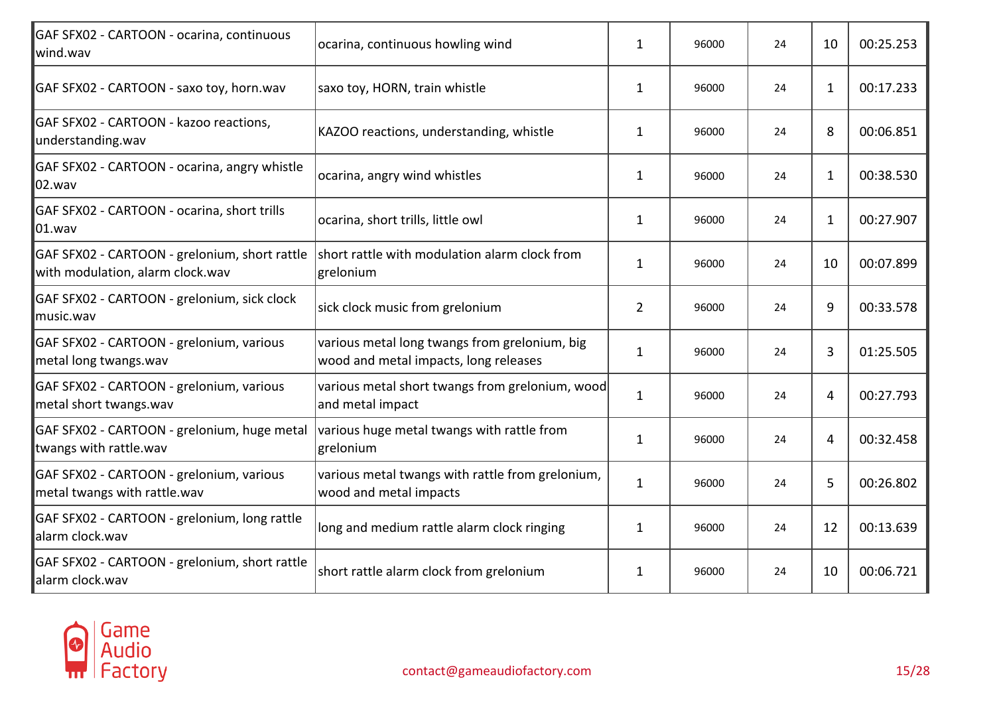| ocarina, continuous howling wind                                                       | 1              | 96000                                           | 24 | 10             | 00:25.253 |
|----------------------------------------------------------------------------------------|----------------|-------------------------------------------------|----|----------------|-----------|
| saxo toy, HORN, train whistle                                                          | $\mathbf{1}$   | 96000                                           | 24 | $\mathbf{1}$   | 00:17.233 |
| KAZOO reactions, understanding, whistle                                                | 1              | 96000                                           | 24 | 8              | 00:06.851 |
| ocarina, angry wind whistles                                                           | 1              | 96000                                           | 24 | 1              | 00:38.530 |
| ocarina, short trills, little owl                                                      | $\mathbf{1}$   | 96000                                           | 24 | $\mathbf{1}$   | 00:27.907 |
| short rattle with modulation alarm clock from<br>grelonium                             | $\mathbf{1}$   | 96000                                           | 24 | 10             | 00:07.899 |
| sick clock music from grelonium                                                        | $\overline{2}$ | 96000                                           | 24 | 9              | 00:33.578 |
| various metal long twangs from grelonium, big<br>wood and metal impacts, long releases | $\mathbf{1}$   | 96000                                           | 24 | 3              | 01:25.505 |
| and metal impact                                                                       | $\mathbf{1}$   | 96000                                           | 24 | $\overline{4}$ | 00:27.793 |
| various huge metal twangs with rattle from<br>grelonium                                | $\mathbf{1}$   | 96000                                           | 24 | $\overline{4}$ | 00:32.458 |
| various metal twangs with rattle from grelonium,<br>wood and metal impacts             | $\mathbf{1}$   | 96000                                           | 24 | 5              | 00:26.802 |
| long and medium rattle alarm clock ringing                                             | $\mathbf{1}$   | 96000                                           | 24 | 12             | 00:13.639 |
| short rattle alarm clock from grelonium                                                | 1              | 96000                                           | 24 | 10             | 00:06.721 |
|                                                                                        |                | various metal short twangs from grelonium, wood |    |                |           |

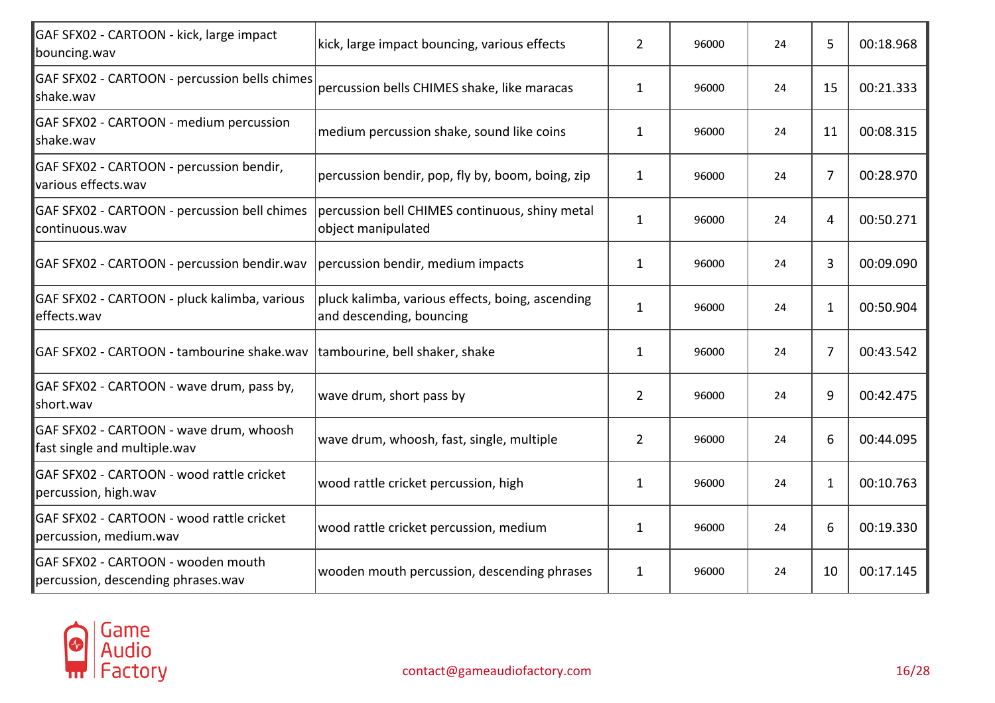| GAF SFX02 - CARTOON - kick, large impact<br>bouncing.wav                 | kick, large impact bouncing, various effects                                 | $\overline{2}$ | 96000 | 24 | 5. | 00:18.968 |
|--------------------------------------------------------------------------|------------------------------------------------------------------------------|----------------|-------|----|----|-----------|
| GAF SFX02 - CARTOON - percussion bells chimes<br>shake.wav               | percussion bells CHIMES shake, like maracas                                  | $\mathbf{1}$   | 96000 | 24 | 15 | 00:21.333 |
| GAF SFX02 - CARTOON - medium percussion<br>shake.wav                     | medium percussion shake, sound like coins                                    | $\mathbf{1}$   | 96000 | 24 | 11 | 00:08.315 |
| GAF SFX02 - CARTOON - percussion bendir,<br>various effects.wav          | percussion bendir, pop, fly by, boom, boing, zip                             | $\mathbf{1}$   | 96000 | 24 | 7  | 00:28.970 |
| GAF SFX02 - CARTOON - percussion bell chimes<br>continuous.wav           | percussion bell CHIMES continuous, shiny metal<br>object manipulated         | $\mathbf{1}$   | 96000 | 24 | 4  | 00:50.271 |
| GAF SFX02 - CARTOON - percussion bendir.wav                              | percussion bendir, medium impacts                                            | $\mathbf{1}$   | 96000 | 24 | 3  | 00:09.090 |
| GAF SFX02 - CARTOON - pluck kalimba, various<br>effects.wav              | pluck kalimba, various effects, boing, ascending<br>and descending, bouncing | $\mathbf{1}$   | 96000 | 24 | 1  | 00:50.904 |
| GAF SFX02 - CARTOON - tambourine shake.wav                               | tambourine, bell shaker, shake                                               | $\mathbf{1}$   | 96000 | 24 | 7  | 00:43.542 |
| GAF SFX02 - CARTOON - wave drum, pass by,<br>short.wav                   | wave drum, short pass by                                                     | $\overline{2}$ | 96000 | 24 | 9  | 00:42.475 |
| GAF SFX02 - CARTOON - wave drum, whoosh<br>fast single and multiple.wav  | wave drum, whoosh, fast, single, multiple                                    | $\overline{2}$ | 96000 | 24 | 6  | 00:44.095 |
| GAF SFX02 - CARTOON - wood rattle cricket<br>percussion, high.wav        | wood rattle cricket percussion, high                                         | $\mathbf{1}$   | 96000 | 24 | 1  | 00:10.763 |
| GAF SFX02 - CARTOON - wood rattle cricket<br>percussion, medium.wav      | wood rattle cricket percussion, medium                                       | $\mathbf{1}$   | 96000 | 24 | 6  | 00:19.330 |
| GAF SFX02 - CARTOON - wooden mouth<br>percussion, descending phrases.wav | wooden mouth percussion, descending phrases                                  | $\mathbf{1}$   | 96000 | 24 | 10 | 00:17.145 |

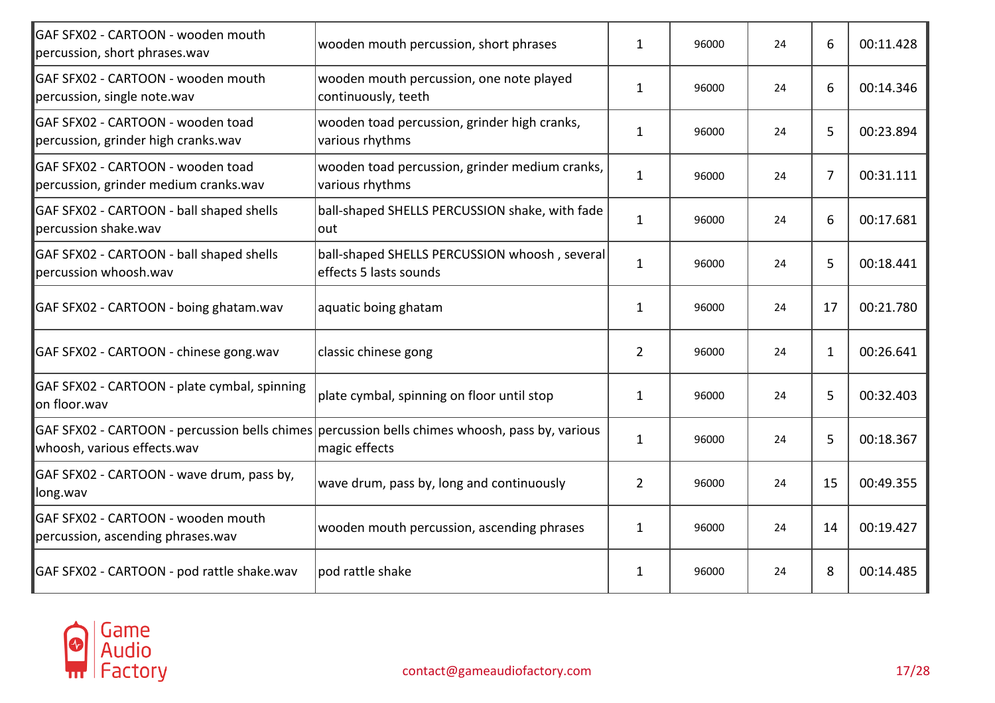| GAF SFX02 - CARTOON - wooden mouth<br>percussion, short phrases.wav        | wooden mouth percussion, short phrases                                                                          | $\mathbf{1}$   | 96000 | 24 | 6  | 00:11.428 |
|----------------------------------------------------------------------------|-----------------------------------------------------------------------------------------------------------------|----------------|-------|----|----|-----------|
| <b>GAF SFX02 - CARTOON - wooden mouth</b><br>percussion, single note.wav   | wooden mouth percussion, one note played<br>continuously, teeth                                                 | $\mathbf{1}$   | 96000 | 24 | 6  | 00:14.346 |
| GAF SFX02 - CARTOON - wooden toad<br>percussion, grinder high cranks.wav   | wooden toad percussion, grinder high cranks,<br>various rhythms                                                 | 1              | 96000 | 24 | 5  | 00:23.894 |
| GAF SFX02 - CARTOON - wooden toad<br>percussion, grinder medium cranks.wav | wooden toad percussion, grinder medium cranks,<br>various rhythms                                               | $\mathbf{1}$   | 96000 | 24 | 7  | 00:31.111 |
| GAF SFX02 - CARTOON - ball shaped shells<br>percussion shake.wav           | ball-shaped SHELLS PERCUSSION shake, with fade<br>out                                                           | $\mathbf{1}$   | 96000 | 24 | 6  | 00:17.681 |
| GAF SFX02 - CARTOON - ball shaped shells<br>percussion whoosh.wav          | ball-shaped SHELLS PERCUSSION whoosh, several<br>effects 5 lasts sounds                                         | $\mathbf{1}$   | 96000 | 24 | 5  | 00:18.441 |
| GAF SFX02 - CARTOON - boing ghatam.wav                                     | aquatic boing ghatam                                                                                            | 1              | 96000 | 24 | 17 | 00:21.780 |
| GAF SFX02 - CARTOON - chinese gong.wav                                     | classic chinese gong                                                                                            | $\overline{2}$ | 96000 | 24 | 1  | 00:26.641 |
| GAF SFX02 - CARTOON - plate cymbal, spinning<br>on floor.wav               | plate cymbal, spinning on floor until stop                                                                      | $\mathbf{1}$   | 96000 | 24 | 5  | 00:32.403 |
| whoosh, various effects.wav                                                | GAF SFX02 - CARTOON - percussion bells chimes percussion bells chimes whoosh, pass by, various<br>magic effects | $\mathbf{1}$   | 96000 | 24 | 5  | 00:18.367 |
| GAF SFX02 - CARTOON - wave drum, pass by,<br>long.wav                      | wave drum, pass by, long and continuously                                                                       | $\overline{2}$ | 96000 | 24 | 15 | 00:49.355 |
| GAF SFX02 - CARTOON - wooden mouth<br>percussion, ascending phrases.wav    | wooden mouth percussion, ascending phrases                                                                      | $\mathbf{1}$   | 96000 | 24 | 14 | 00:19.427 |
| GAF SFX02 - CARTOON - pod rattle shake.wav                                 | pod rattle shake                                                                                                | $\mathbf{1}$   | 96000 | 24 | 8  | 00:14.485 |

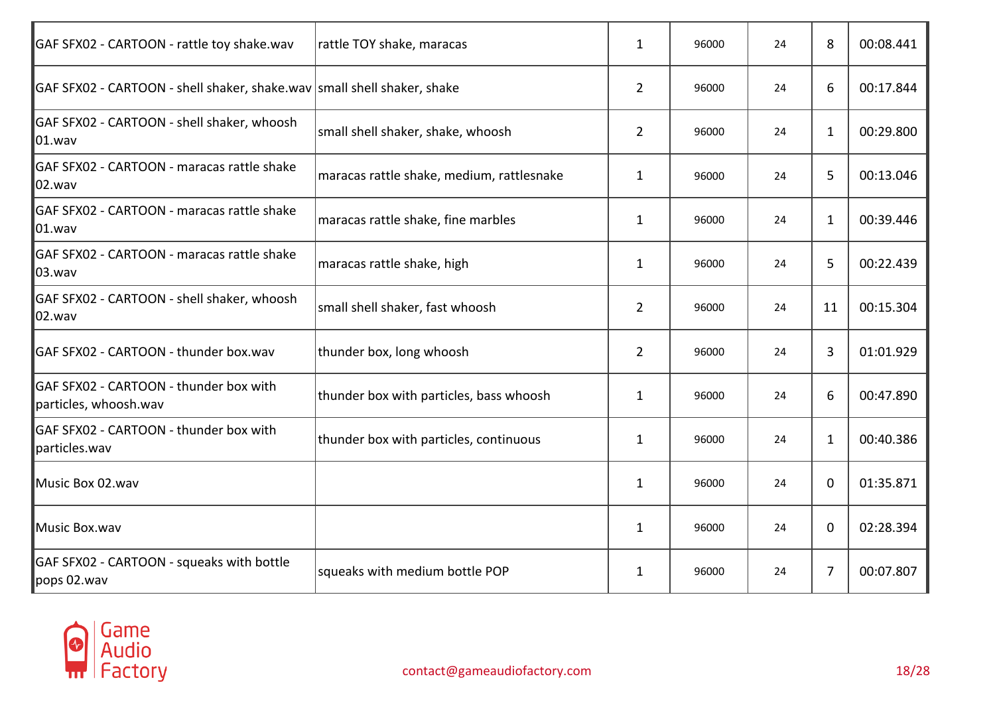| rattle TOY shake, maracas                                                 | 1              | 96000 | 24 | 8              | 00:08.441 |
|---------------------------------------------------------------------------|----------------|-------|----|----------------|-----------|
| GAF SFX02 - CARTOON - shell shaker, shake.wav   small shell shaker, shake | $\overline{2}$ | 96000 | 24 | 6              | 00:17.844 |
| small shell shaker, shake, whoosh                                         | $\overline{2}$ | 96000 | 24 | $\mathbf{1}$   | 00:29.800 |
| maracas rattle shake, medium, rattlesnake                                 | $\mathbf{1}$   | 96000 | 24 | 5              | 00:13.046 |
| maracas rattle shake, fine marbles                                        | $\mathbf{1}$   | 96000 | 24 | $\mathbf{1}$   | 00:39.446 |
| maracas rattle shake, high                                                | $\mathbf{1}$   | 96000 | 24 | 5              | 00:22.439 |
| small shell shaker, fast whoosh                                           | $\overline{2}$ | 96000 | 24 | 11             | 00:15.304 |
| thunder box, long whoosh                                                  | $\overline{2}$ | 96000 | 24 | 3              | 01:01.929 |
| thunder box with particles, bass whoosh                                   | $\mathbf{1}$   | 96000 | 24 | 6              | 00:47.890 |
| thunder box with particles, continuous                                    | 1              | 96000 | 24 | 1              | 00:40.386 |
|                                                                           | $\mathbf{1}$   | 96000 | 24 | $\mathbf 0$    | 01:35.871 |
|                                                                           | $\mathbf{1}$   | 96000 | 24 | $\mathbf 0$    | 02:28.394 |
| squeaks with medium bottle POP                                            | 1              | 96000 | 24 | $\overline{7}$ | 00:07.807 |
|                                                                           |                |       |    |                |           |

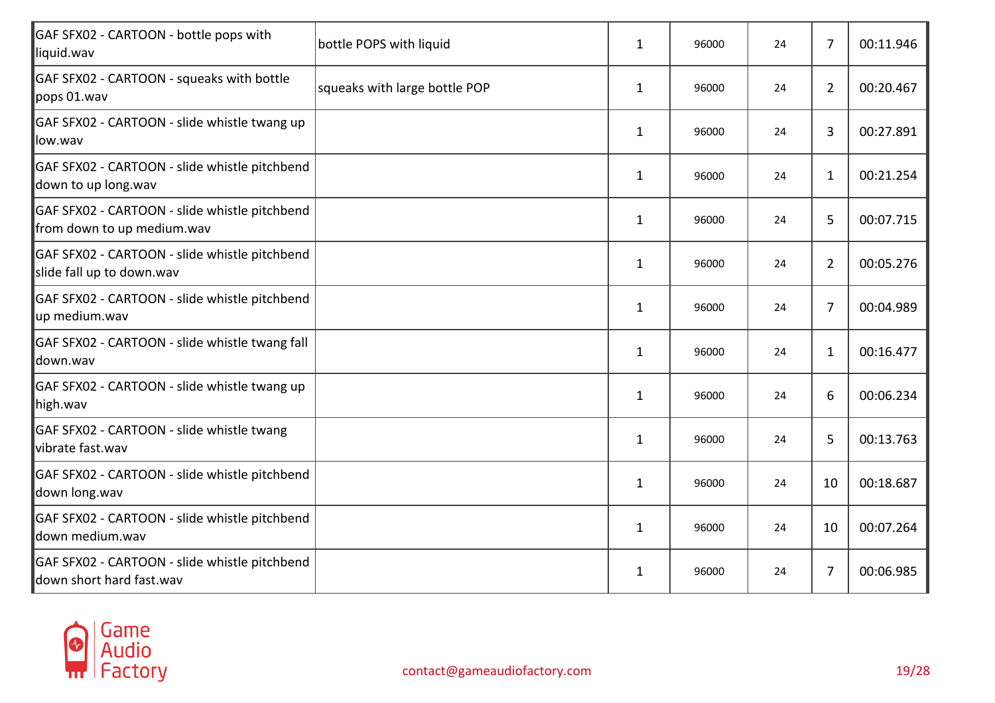| GAF SFX02 - CARTOON - bottle pops with<br>liquid.wav                        | bottle POPS with liquid       | 1            | 96000 | 24 | $\overline{7}$ | 00:11.946 |
|-----------------------------------------------------------------------------|-------------------------------|--------------|-------|----|----------------|-----------|
| GAF SFX02 - CARTOON - squeaks with bottle<br>pops 01.wav                    | squeaks with large bottle POP | $\mathbf{1}$ | 96000 | 24 | $\overline{2}$ | 00:20.467 |
| GAF SFX02 - CARTOON - slide whistle twang up<br>llow.wav                    |                               | $\mathbf{1}$ | 96000 | 24 | 3              | 00:27.891 |
| GAF SFX02 - CARTOON - slide whistle pitchbend<br>down to up long.wav        |                               | $\mathbf{1}$ | 96000 | 24 | $\mathbf{1}$   | 00:21.254 |
| GAF SFX02 - CARTOON - slide whistle pitchbend<br>from down to up medium.wav |                               | $\mathbf{1}$ | 96000 | 24 | 5              | 00:07.715 |
| GAF SFX02 - CARTOON - slide whistle pitchbend<br>slide fall up to down.wav  |                               | $\mathbf{1}$ | 96000 | 24 | $\overline{2}$ | 00:05.276 |
| GAF SFX02 - CARTOON - slide whistle pitchbend<br>up medium.wav              |                               | $\mathbf{1}$ | 96000 | 24 | $\overline{7}$ | 00:04.989 |
| GAF SFX02 - CARTOON - slide whistle twang fall<br>ldown.wav                 |                               | $\mathbf{1}$ | 96000 | 24 | $\mathbf{1}$   | 00:16.477 |
| GAF SFX02 - CARTOON - slide whistle twang up<br>high.wav                    |                               | $\mathbf{1}$ | 96000 | 24 | 6              | 00:06.234 |
| GAF SFX02 - CARTOON - slide whistle twang<br>vibrate fast.wav               |                               | $\mathbf{1}$ | 96000 | 24 | 5              | 00:13.763 |
| GAF SFX02 - CARTOON - slide whistle pitchbend<br>down long.wav              |                               | $\mathbf{1}$ | 96000 | 24 | 10             | 00:18.687 |
| GAF SFX02 - CARTOON - slide whistle pitchbend<br>ldown medium.wav           |                               | $\mathbf{1}$ | 96000 | 24 | 10             | 00:07.264 |
| GAF SFX02 - CARTOON - slide whistle pitchbend<br>down short hard fast.wav   |                               | $\mathbf{1}$ | 96000 | 24 | 7              | 00:06.985 |

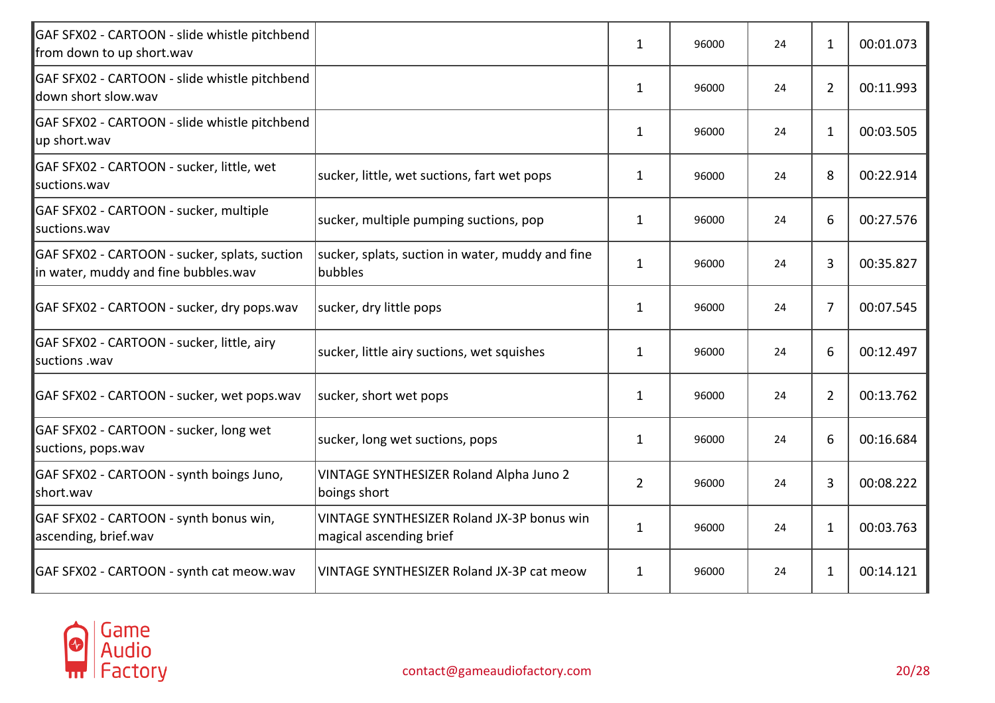| GAF SFX02 - CARTOON - slide whistle pitchbend<br>from down to up short.wav            |                                                                       | $\mathbf{1}$   | 96000 | 24 | $\mathbf{1}$   | 00:01.073 |
|---------------------------------------------------------------------------------------|-----------------------------------------------------------------------|----------------|-------|----|----------------|-----------|
| GAF SFX02 - CARTOON - slide whistle pitchbend<br>down short slow.wav                  |                                                                       | $\mathbf{1}$   | 96000 | 24 | $\overline{2}$ | 00:11.993 |
| GAF SFX02 - CARTOON - slide whistle pitchbend<br>up short.wav                         |                                                                       | $\mathbf{1}$   | 96000 | 24 | $\mathbf{1}$   | 00:03.505 |
| GAF SFX02 - CARTOON - sucker, little, wet<br>suctions.wav                             | sucker, little, wet suctions, fart wet pops                           | $\mathbf{1}$   | 96000 | 24 | 8              | 00:22.914 |
| GAF SFX02 - CARTOON - sucker, multiple<br>lsuctions.wav                               | sucker, multiple pumping suctions, pop                                | $\mathbf{1}$   | 96000 | 24 | 6              | 00:27.576 |
| GAF SFX02 - CARTOON - sucker, splats, suction<br>in water, muddy and fine bubbles.wav | sucker, splats, suction in water, muddy and fine<br>bubbles           | $\mathbf{1}$   | 96000 | 24 | 3              | 00:35.827 |
| GAF SFX02 - CARTOON - sucker, dry pops.wav                                            | sucker, dry little pops                                               | 1              | 96000 | 24 | 7              | 00:07.545 |
| GAF SFX02 - CARTOON - sucker, little, airy<br>suctions .wav                           | sucker, little airy suctions, wet squishes                            | $\mathbf{1}$   | 96000 | 24 | 6              | 00:12.497 |
| GAF SFX02 - CARTOON - sucker, wet pops.wav                                            | sucker, short wet pops                                                | $\mathbf{1}$   | 96000 | 24 | $\overline{2}$ | 00:13.762 |
| GAF SFX02 - CARTOON - sucker, long wet<br>suctions, pops.wav                          | sucker, long wet suctions, pops                                       | $\mathbf{1}$   | 96000 | 24 | 6              | 00:16.684 |
| GAF SFX02 - CARTOON - synth boings Juno,<br>short.wav                                 | VINTAGE SYNTHESIZER Roland Alpha Juno 2<br>boings short               | $\overline{2}$ | 96000 | 24 | 3              | 00:08.222 |
| GAF SFX02 - CARTOON - synth bonus win,<br>ascending, brief.wav                        | VINTAGE SYNTHESIZER Roland JX-3P bonus win<br>magical ascending brief | $\mathbf{1}$   | 96000 | 24 | $\mathbf{1}$   | 00:03.763 |
| GAF SFX02 - CARTOON - synth cat meow.wav                                              | VINTAGE SYNTHESIZER Roland JX-3P cat meow                             | $\mathbf{1}$   | 96000 | 24 | $\mathbf{1}$   | 00:14.121 |

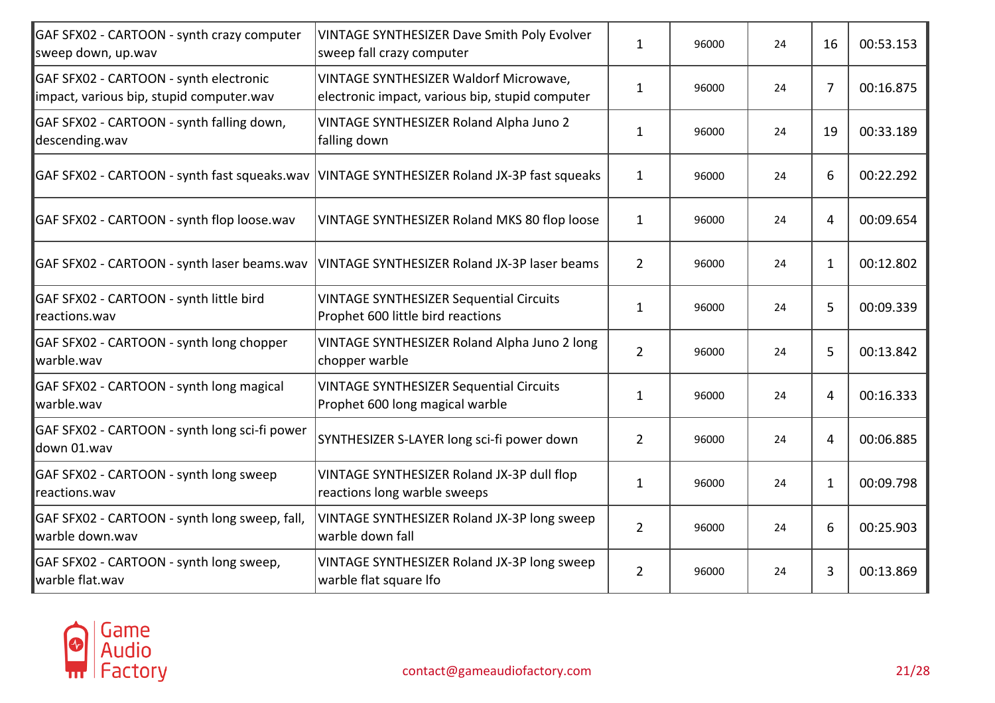| GAF SFX02 - CARTOON - synth crazy computer<br>sweep down, up.wav                   | VINTAGE SYNTHESIZER Dave Smith Poly Evolver<br>sweep fall crazy computer                  | $\mathbf{1}$   | 96000 | 24 | 16             | 00:53.153 |
|------------------------------------------------------------------------------------|-------------------------------------------------------------------------------------------|----------------|-------|----|----------------|-----------|
| GAF SFX02 - CARTOON - synth electronic<br>impact, various bip, stupid computer.wav | VINTAGE SYNTHESIZER Waldorf Microwave,<br>electronic impact, various bip, stupid computer | $\mathbf{1}$   | 96000 | 24 | $\overline{7}$ | 00:16.875 |
| GAF SFX02 - CARTOON - synth falling down,<br>descending.wav                        | VINTAGE SYNTHESIZER Roland Alpha Juno 2<br>falling down                                   | $\mathbf{1}$   | 96000 | 24 | 19             | 00:33.189 |
| GAF SFX02 - CARTOON - synth fast squeaks.wav                                       | VINTAGE SYNTHESIZER Roland JX-3P fast squeaks                                             | $\mathbf{1}$   | 96000 | 24 | 6              | 00:22.292 |
| GAF SFX02 - CARTOON - synth flop loose.wav                                         | VINTAGE SYNTHESIZER Roland MKS 80 flop loose                                              | $\mathbf{1}$   | 96000 | 24 | 4              | 00:09.654 |
| GAF SFX02 - CARTOON - synth laser beams.wav                                        | VINTAGE SYNTHESIZER Roland JX-3P laser beams                                              | $2^{\circ}$    | 96000 | 24 | $\mathbf{1}$   | 00:12.802 |
| GAF SFX02 - CARTOON - synth little bird<br>reactions.wav                           | <b>VINTAGE SYNTHESIZER Sequential Circuits</b><br>Prophet 600 little bird reactions       | $\mathbf{1}$   | 96000 | 24 | 5              | 00:09.339 |
| GAF SFX02 - CARTOON - synth long chopper<br>warble.wav                             | VINTAGE SYNTHESIZER Roland Alpha Juno 2 long<br>chopper warble                            | $\overline{2}$ | 96000 | 24 | 5              | 00:13.842 |
| GAF SFX02 - CARTOON - synth long magical<br>warble.wav                             | <b>VINTAGE SYNTHESIZER Sequential Circuits</b><br>Prophet 600 long magical warble         | $\mathbf{1}$   | 96000 | 24 | 4              | 00:16.333 |
| GAF SFX02 - CARTOON - synth long sci-fi power<br>down 01.wav                       | SYNTHESIZER S-LAYER long sci-fi power down                                                | $\overline{2}$ | 96000 | 24 | 4              | 00:06.885 |
| GAF SFX02 - CARTOON - synth long sweep<br>reactions.wav                            | VINTAGE SYNTHESIZER Roland JX-3P dull flop<br>reactions long warble sweeps                | $\mathbf{1}$   | 96000 | 24 | 1              | 00:09.798 |
| GAF SFX02 - CARTOON - synth long sweep, fall,<br>warble down.wav                   | VINTAGE SYNTHESIZER Roland JX-3P long sweep<br>warble down fall                           | $\overline{2}$ | 96000 | 24 | 6              | 00:25.903 |
| GAF SFX02 - CARTOON - synth long sweep,<br>warble flat.wav                         | VINTAGE SYNTHESIZER Roland JX-3P long sweep<br>warble flat square Ifo                     | $2^{\circ}$    | 96000 | 24 | 3              | 00:13.869 |
|                                                                                    |                                                                                           |                |       |    |                |           |

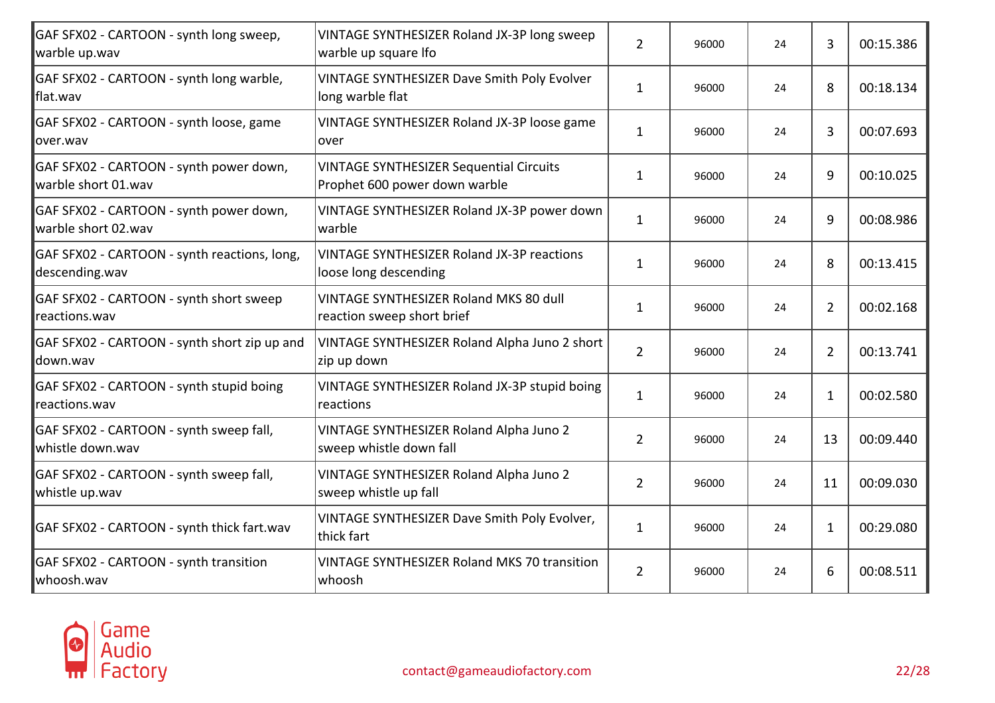| VINTAGE SYNTHESIZER Roland JX-3P long sweep<br>warble up square Ifo             | $\overline{2}$ | 96000 | 24 | 3  | 00:15.386 |
|---------------------------------------------------------------------------------|----------------|-------|----|----|-----------|
| VINTAGE SYNTHESIZER Dave Smith Poly Evolver<br>long warble flat                 | $\mathbf{1}$   | 96000 | 24 | 8  | 00:18.134 |
| VINTAGE SYNTHESIZER Roland JX-3P loose game<br>over                             | 1              | 96000 | 24 | 3  | 00:07.693 |
| <b>VINTAGE SYNTHESIZER Sequential Circuits</b><br>Prophet 600 power down warble | $\mathbf{1}$   | 96000 | 24 | 9  | 00:10.025 |
| VINTAGE SYNTHESIZER Roland JX-3P power down<br>warble                           | $\mathbf{1}$   | 96000 | 24 | 9  | 00:08.986 |
| <b>VINTAGE SYNTHESIZER Roland JX-3P reactions</b><br>loose long descending      | $\mathbf{1}$   | 96000 | 24 | 8  | 00:13.415 |
| <b>VINTAGE SYNTHESIZER Roland MKS 80 dull</b><br>reaction sweep short brief     | $\mathbf{1}$   | 96000 | 24 | 2  | 00:02.168 |
| VINTAGE SYNTHESIZER Roland Alpha Juno 2 short<br>zip up down                    | $\overline{2}$ | 96000 | 24 | 2  | 00:13.741 |
| VINTAGE SYNTHESIZER Roland JX-3P stupid boing<br>reactions                      | $\mathbf{1}$   | 96000 | 24 | 1  | 00:02.580 |
| VINTAGE SYNTHESIZER Roland Alpha Juno 2<br>sweep whistle down fall              | $\overline{2}$ | 96000 | 24 | 13 | 00:09.440 |
| VINTAGE SYNTHESIZER Roland Alpha Juno 2<br>sweep whistle up fall                | $\overline{2}$ | 96000 | 24 | 11 | 00:09.030 |
| VINTAGE SYNTHESIZER Dave Smith Poly Evolver,<br>thick fart                      | $\mathbf{1}$   | 96000 | 24 | 1  | 00:29.080 |
| <b>VINTAGE SYNTHESIZER Roland MKS 70 transition</b><br>whoosh                   | $\overline{2}$ | 96000 | 24 | 6  | 00:08.511 |
|                                                                                 |                |       |    |    |           |

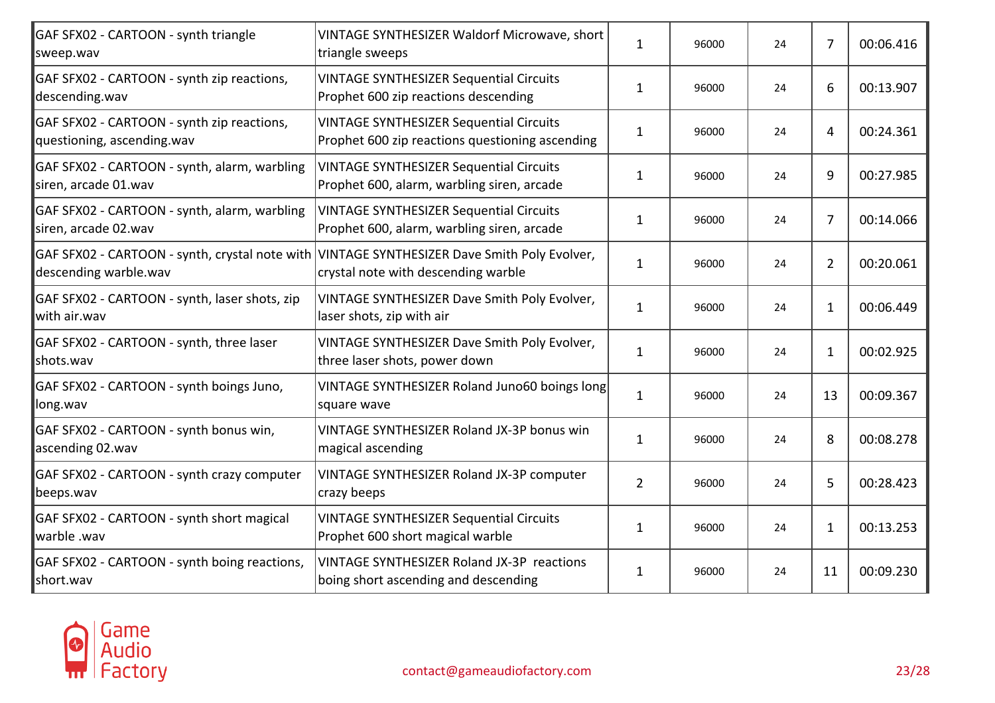| GAF SFX02 - CARTOON - synth triangle<br>sweep.wav                        | VINTAGE SYNTHESIZER Waldorf Microwave, short<br>triangle sweeps                                                                    | $\mathbf{1}$   | 96000 | 24 | 7              | 00:06.416 |
|--------------------------------------------------------------------------|------------------------------------------------------------------------------------------------------------------------------------|----------------|-------|----|----------------|-----------|
| GAF SFX02 - CARTOON - synth zip reactions,<br>descending.wav             | <b>VINTAGE SYNTHESIZER Sequential Circuits</b><br>Prophet 600 zip reactions descending                                             | $\mathbf{1}$   | 96000 | 24 | 6              | 00:13.907 |
| GAF SFX02 - CARTOON - synth zip reactions,<br>questioning, ascending.wav | <b>VINTAGE SYNTHESIZER Sequential Circuits</b><br>Prophet 600 zip reactions questioning ascending                                  | $\mathbf{1}$   | 96000 | 24 | 4              | 00:24.361 |
| GAF SFX02 - CARTOON - synth, alarm, warbling<br>siren, arcade 01.wav     | <b>VINTAGE SYNTHESIZER Sequential Circuits</b><br>Prophet 600, alarm, warbling siren, arcade                                       | $\mathbf{1}$   | 96000 | 24 | 9              | 00:27.985 |
| GAF SFX02 - CARTOON - synth, alarm, warbling<br>siren, arcade 02.wav     | <b>VINTAGE SYNTHESIZER Sequential Circuits</b><br>Prophet 600, alarm, warbling siren, arcade                                       | $\mathbf{1}$   | 96000 | 24 | $\overline{7}$ | 00:14.066 |
| descending warble.wav                                                    | GAF SFX02 - CARTOON - synth, crystal note with VINTAGE SYNTHESIZER Dave Smith Poly Evolver,<br>crystal note with descending warble | $\mathbf{1}$   | 96000 | 24 | $\overline{2}$ | 00:20.061 |
| GAF SFX02 - CARTOON - synth, laser shots, zip<br>with air.wav            | VINTAGE SYNTHESIZER Dave Smith Poly Evolver,<br>laser shots, zip with air                                                          | $\mathbf{1}$   | 96000 | 24 | 1              | 00:06.449 |
| GAF SFX02 - CARTOON - synth, three laser<br>shots.wav                    | VINTAGE SYNTHESIZER Dave Smith Poly Evolver,<br>three laser shots, power down                                                      | $\mathbf{1}$   | 96000 | 24 | $\mathbf{1}$   | 00:02.925 |
| GAF SFX02 - CARTOON - synth boings Juno,<br>long.wav                     | VINTAGE SYNTHESIZER Roland Juno60 boings long<br>square wave                                                                       | $\mathbf{1}$   | 96000 | 24 | 13             | 00:09.367 |
| GAF SFX02 - CARTOON - synth bonus win,<br>ascending 02.wav               | VINTAGE SYNTHESIZER Roland JX-3P bonus win<br>magical ascending                                                                    | $\mathbf{1}$   | 96000 | 24 | 8              | 00:08.278 |
| GAF SFX02 - CARTOON - synth crazy computer<br>beeps.wav                  | VINTAGE SYNTHESIZER Roland JX-3P computer<br>crazy beeps                                                                           | $\overline{2}$ | 96000 | 24 | 5              | 00:28.423 |
| GAF SFX02 - CARTOON - synth short magical<br>warble .wav                 | <b>VINTAGE SYNTHESIZER Sequential Circuits</b><br>Prophet 600 short magical warble                                                 | $\mathbf{1}$   | 96000 | 24 | $\mathbf{1}$   | 00:13.253 |
| GAF SFX02 - CARTOON - synth boing reactions,<br>short.wav                | VINTAGE SYNTHESIZER Roland JX-3P reactions<br>boing short ascending and descending                                                 | $\mathbf{1}$   | 96000 | 24 | 11             | 00:09.230 |

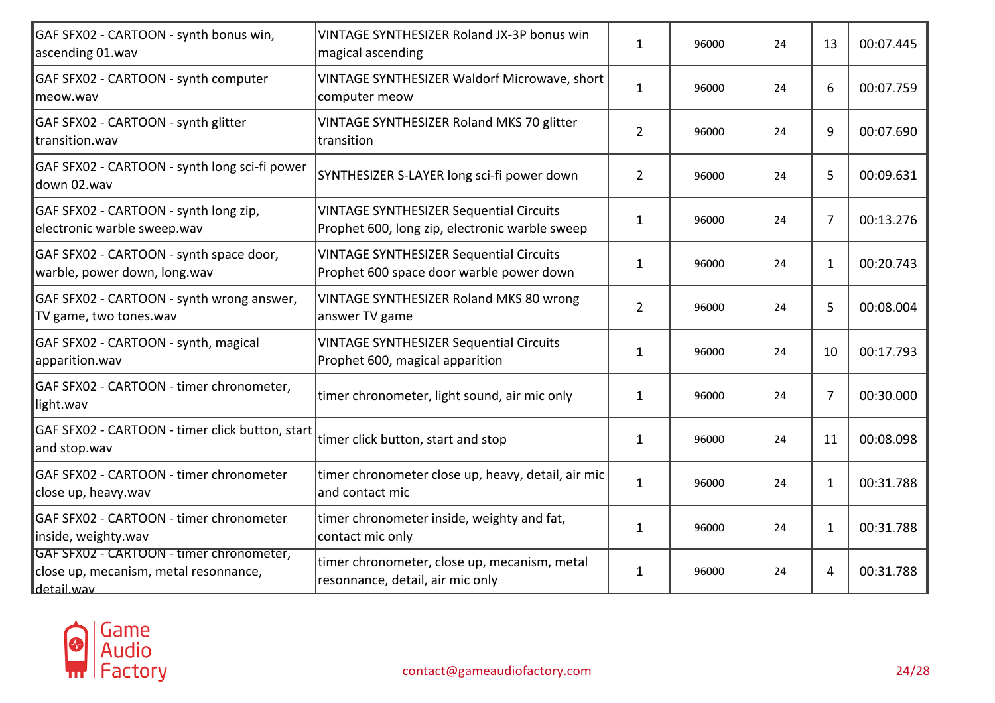| GAF SFX02 - CARTOON - synth bonus win,                                                          | VINTAGE SYNTHESIZER Roland JX-3P bonus win                                                       | $\mathbf{1}$   | 96000 | 24 | 13 | 00:07.445 |
|-------------------------------------------------------------------------------------------------|--------------------------------------------------------------------------------------------------|----------------|-------|----|----|-----------|
| ascending 01.wav                                                                                | magical ascending                                                                                |                |       |    |    |           |
| GAF SFX02 - CARTOON - synth computer<br>lmeow.wav                                               | VINTAGE SYNTHESIZER Waldorf Microwave, short<br>computer meow                                    | $\mathbf{1}$   | 96000 | 24 | 6  | 00:07.759 |
| GAF SFX02 - CARTOON - synth glitter<br>transition.wav                                           | VINTAGE SYNTHESIZER Roland MKS 70 glitter<br>transition                                          | $\overline{2}$ | 96000 | 24 | 9  | 00:07.690 |
| GAF SFX02 - CARTOON - synth long sci-fi power<br>down 02.wav                                    | SYNTHESIZER S-LAYER long sci-fi power down                                                       | $\overline{2}$ | 96000 | 24 | 5  | 00:09.631 |
| GAF SFX02 - CARTOON - synth long zip,<br>electronic warble sweep.wav                            | <b>VINTAGE SYNTHESIZER Sequential Circuits</b><br>Prophet 600, long zip, electronic warble sweep | $\mathbf{1}$   | 96000 | 24 | 7  | 00:13.276 |
| GAF SFX02 - CARTOON - synth space door,<br>warble, power down, long.wav                         | <b>VINTAGE SYNTHESIZER Sequential Circuits</b><br>Prophet 600 space door warble power down       | $\mathbf{1}$   | 96000 | 24 | 1  | 00:20.743 |
| GAF SFX02 - CARTOON - synth wrong answer,<br>TV game, two tones.wav                             | VINTAGE SYNTHESIZER Roland MKS 80 wrong<br>answer TV game                                        | $\overline{2}$ | 96000 | 24 | 5  | 00:08.004 |
| GAF SFX02 - CARTOON - synth, magical<br>apparition.wav                                          | <b>VINTAGE SYNTHESIZER Sequential Circuits</b><br>Prophet 600, magical apparition                | $\mathbf{1}$   | 96000 | 24 | 10 | 00:17.793 |
| GAF SFX02 - CARTOON - timer chronometer,<br>light.wav                                           | timer chronometer, light sound, air mic only                                                     | $\mathbf{1}$   | 96000 | 24 | 7  | 00:30.000 |
| GAF SFX02 - CARTOON - timer click button, start<br>and stop.wav                                 | timer click button, start and stop                                                               | $\mathbf{1}$   | 96000 | 24 | 11 | 00:08.098 |
| GAF SFX02 - CARTOON - timer chronometer<br>close up, heavy.wav                                  | timer chronometer close up, heavy, detail, air mic<br>and contact mic                            | $\mathbf{1}$   | 96000 | 24 | 1  | 00:31.788 |
| GAF SFX02 - CARTOON - timer chronometer<br>inside, weighty.wav                                  | timer chronometer inside, weighty and fat,<br>contact mic only                                   | $\mathbf{1}$   | 96000 | 24 | 1  | 00:31.788 |
| GAF SFX02 - CARTOON - timer chronometer,<br>close up, mecanism, metal resonnance,<br>detail.wav | timer chronometer, close up, mecanism, metal<br>resonnance, detail, air mic only                 | $\mathbf{1}$   | 96000 | 24 | 4  | 00:31.788 |

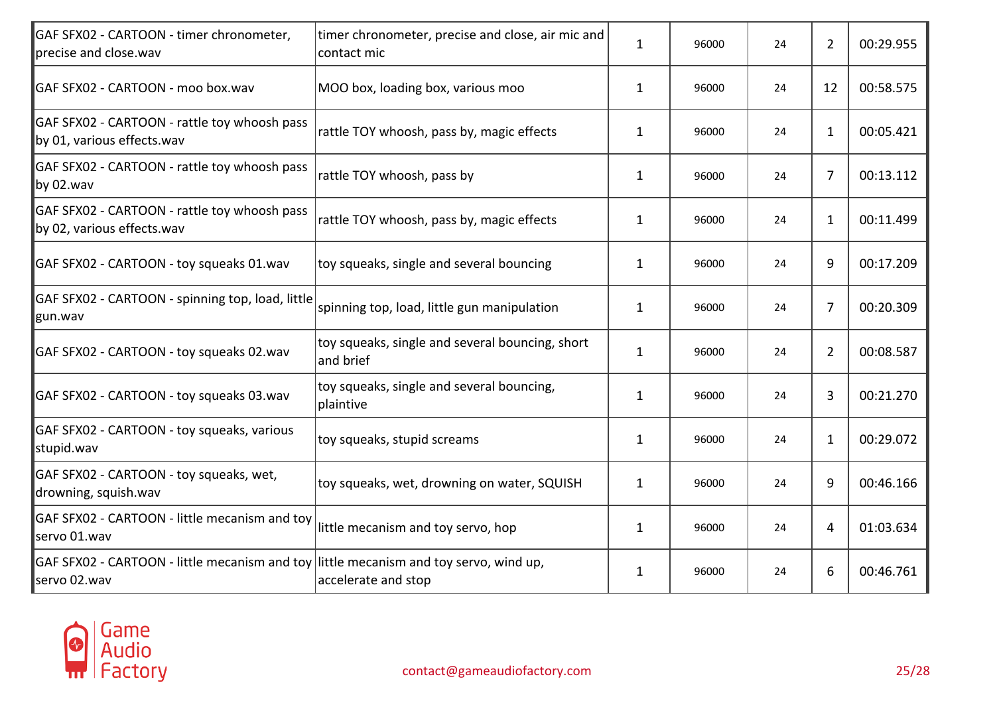| GAF SFX02 - CARTOON - timer chronometer,<br>precise and close.wav                                      | timer chronometer, precise and close, air mic and<br>contact mic | $\mathbf{1}$ | 96000 | 24 | 2              | 00:29.955 |
|--------------------------------------------------------------------------------------------------------|------------------------------------------------------------------|--------------|-------|----|----------------|-----------|
| GAF SFX02 - CARTOON - moo box.wav                                                                      | MOO box, loading box, various moo                                | $\mathbf{1}$ | 96000 | 24 | 12             | 00:58.575 |
| GAF SFX02 - CARTOON - rattle toy whoosh pass<br>by 01, various effects.wav                             | rattle TOY whoosh, pass by, magic effects                        | 1            | 96000 | 24 | $\mathbf{1}$   | 00:05.421 |
| GAF SFX02 - CARTOON - rattle toy whoosh pass<br>by 02.wav                                              | rattle TOY whoosh, pass by                                       | 1            | 96000 | 24 | 7              | 00:13.112 |
| GAF SFX02 - CARTOON - rattle toy whoosh pass<br>by 02, various effects.wav                             | rattle TOY whoosh, pass by, magic effects                        | $\mathbf{1}$ | 96000 | 24 | $\mathbf{1}$   | 00:11.499 |
| GAF SFX02 - CARTOON - toy squeaks 01.wav                                                               | toy squeaks, single and several bouncing                         | $\mathbf{1}$ | 96000 | 24 | 9              | 00:17.209 |
| GAF SFX02 - CARTOON - spinning top, load, little<br>gun.wav                                            | spinning top, load, little gun manipulation                      | $\mathbf{1}$ | 96000 | 24 | 7              | 00:20.309 |
| GAF SFX02 - CARTOON - toy squeaks 02.wav                                                               | toy squeaks, single and several bouncing, short<br>and brief     | $\mathbf{1}$ | 96000 | 24 | $\overline{2}$ | 00:08.587 |
| GAF SFX02 - CARTOON - toy squeaks 03.wav                                                               | toy squeaks, single and several bouncing,<br>plaintive           | $\mathbf{1}$ | 96000 | 24 | 3              | 00:21.270 |
| GAF SFX02 - CARTOON - toy squeaks, various<br>stupid.wav                                               | toy squeaks, stupid screams                                      | $\mathbf{1}$ | 96000 | 24 | $\mathbf{1}$   | 00:29.072 |
| GAF SFX02 - CARTOON - toy squeaks, wet,<br>drowning, squish.wav                                        | toy squeaks, wet, drowning on water, SQUISH                      | $\mathbf{1}$ | 96000 | 24 | 9              | 00:46.166 |
| GAF SFX02 - CARTOON - little mecanism and toy<br>servo 01.wav                                          | little mecanism and toy servo, hop                               | $\mathbf{1}$ | 96000 | 24 | $\overline{4}$ | 01:03.634 |
| GAF SFX02 - CARTOON - little mecanism and toy liittle mecanism and toy servo, wind up,<br>servo 02.wav | accelerate and stop                                              | $\mathbf{1}$ | 96000 | 24 | 6              | 00:46.761 |

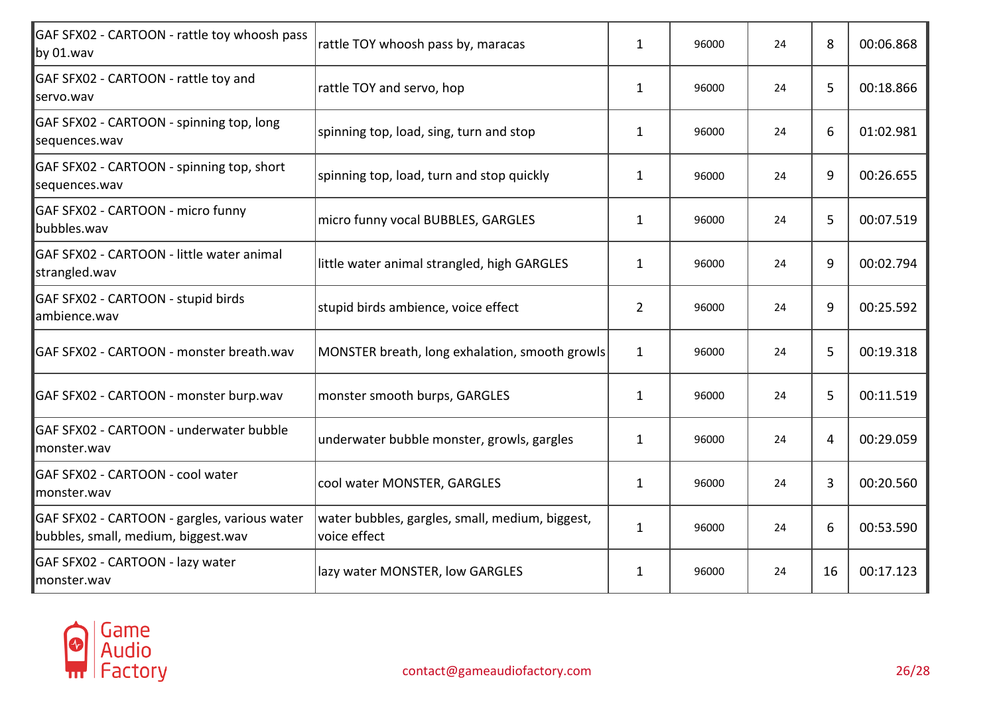| GAF SFX02 - CARTOON - rattle toy whoosh pass<br>by 01.wav                           | rattle TOY whoosh pass by, maracas                              | $\mathbf{1}$   | 96000 | 24 | 8  | 00:06.868 |
|-------------------------------------------------------------------------------------|-----------------------------------------------------------------|----------------|-------|----|----|-----------|
| GAF SFX02 - CARTOON - rattle toy and<br>servo.wav                                   | rattle TOY and servo, hop                                       | $\mathbf{1}$   | 96000 | 24 | 5  | 00:18.866 |
| GAF SFX02 - CARTOON - spinning top, long<br>sequences.wav                           | spinning top, load, sing, turn and stop                         | 1              | 96000 | 24 | 6  | 01:02.981 |
| GAF SFX02 - CARTOON - spinning top, short<br>sequences.wav                          | spinning top, load, turn and stop quickly                       | 1              | 96000 | 24 | 9  | 00:26.655 |
| GAF SFX02 - CARTOON - micro funny<br>bubbles.wav                                    | micro funny vocal BUBBLES, GARGLES                              | $\mathbf{1}$   | 96000 | 24 | 5  | 00:07.519 |
| GAF SFX02 - CARTOON - little water animal<br>strangled.wav                          | little water animal strangled, high GARGLES                     | $\mathbf{1}$   | 96000 | 24 | 9  | 00:02.794 |
| GAF SFX02 - CARTOON - stupid birds<br>ambience.wav                                  | stupid birds ambience, voice effect                             | $\overline{2}$ | 96000 | 24 | 9  | 00:25.592 |
| GAF SFX02 - CARTOON - monster breath.wav                                            | MONSTER breath, long exhalation, smooth growls                  | $\mathbf{1}$   | 96000 | 24 | 5  | 00:19.318 |
| GAF SFX02 - CARTOON - monster burp.wav                                              | monster smooth burps, GARGLES                                   | $\mathbf{1}$   | 96000 | 24 | 5  | 00:11.519 |
| GAF SFX02 - CARTOON - underwater bubble<br>monster.wav                              | underwater bubble monster, growls, gargles                      | $\mathbf{1}$   | 96000 | 24 | 4  | 00:29.059 |
| GAF SFX02 - CARTOON - cool water<br>monster.wav                                     | cool water MONSTER, GARGLES                                     | $\mathbf{1}$   | 96000 | 24 | 3  | 00:20.560 |
| GAF SFX02 - CARTOON - gargles, various water<br>bubbles, small, medium, biggest.wav | water bubbles, gargles, small, medium, biggest,<br>voice effect | $\mathbf{1}$   | 96000 | 24 | 6  | 00:53.590 |
| GAF SFX02 - CARTOON - lazy water<br>monster.wav                                     | lazy water MONSTER, low GARGLES                                 | 1              | 96000 | 24 | 16 | 00:17.123 |

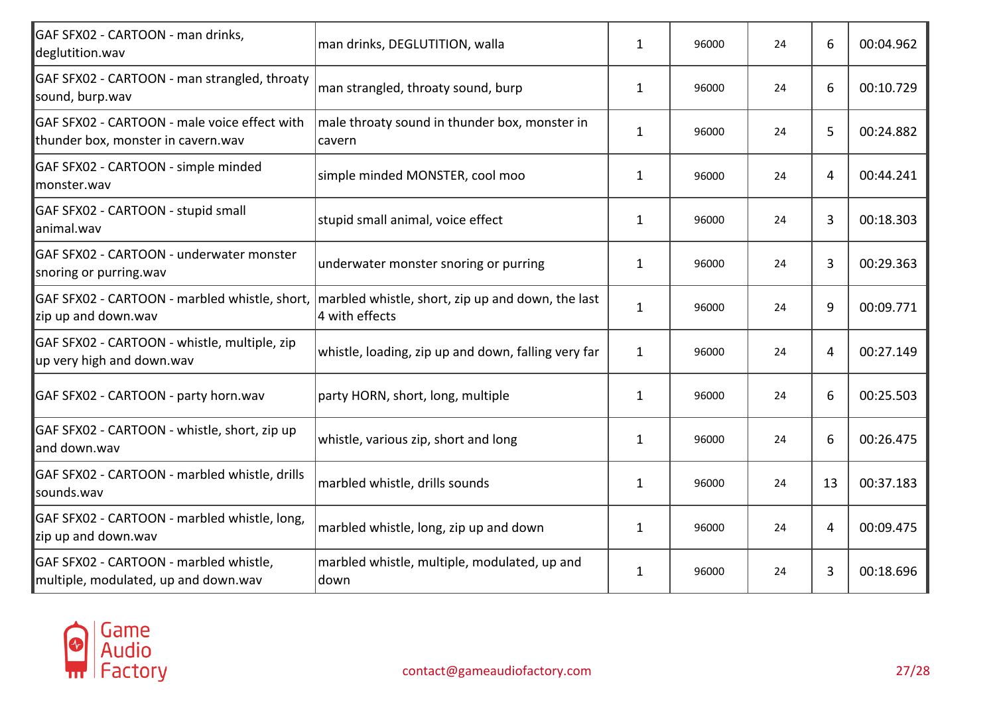| GAF SFX02 - CARTOON - man drinks,<br>deglutition.wav                               | man drinks, DEGLUTITION, walla                                      | $\mathbf{1}$ | 96000 | 24 | 6  | 00:04.962 |
|------------------------------------------------------------------------------------|---------------------------------------------------------------------|--------------|-------|----|----|-----------|
| GAF SFX02 - CARTOON - man strangled, throaty<br>sound, burp.wav                    | man strangled, throaty sound, burp                                  | $\mathbf{1}$ | 96000 | 24 | 6  | 00:10.729 |
| GAF SFX02 - CARTOON - male voice effect with<br>thunder box, monster in cavern.wav | male throaty sound in thunder box, monster in<br>cavern             | $\mathbf{1}$ | 96000 | 24 | 5  | 00:24.882 |
| GAF SFX02 - CARTOON - simple minded<br>Imonster.wav                                | simple minded MONSTER, cool moo                                     | $\mathbf{1}$ | 96000 | 24 | 4  | 00:44.241 |
| GAF SFX02 - CARTOON - stupid small<br>animal.wav                                   | stupid small animal, voice effect                                   | 1            | 96000 | 24 | 3  | 00:18.303 |
| <b>GAF SFX02 - CARTOON - underwater monster</b><br>snoring or purring.wav          | underwater monster snoring or purring                               | $\mathbf{1}$ | 96000 | 24 | 3  | 00:29.363 |
| GAF SFX02 - CARTOON - marbled whistle, short,<br>zip up and down.wav               | marbled whistle, short, zip up and down, the last<br>4 with effects | $\mathbf{1}$ | 96000 | 24 | 9  | 00:09.771 |
| GAF SFX02 - CARTOON - whistle, multiple, zip<br>up very high and down.wav          | whistle, loading, zip up and down, falling very far                 | $\mathbf{1}$ | 96000 | 24 | 4  | 00:27.149 |
| GAF SFX02 - CARTOON - party horn.wav                                               | party HORN, short, long, multiple                                   | $\mathbf{1}$ | 96000 | 24 | 6  | 00:25.503 |
| GAF SFX02 - CARTOON - whistle, short, zip up<br>land down.wav                      | whistle, various zip, short and long                                | $\mathbf{1}$ | 96000 | 24 | 6  | 00:26.475 |
| GAF SFX02 - CARTOON - marbled whistle, drills<br>sounds.wav                        | marbled whistle, drills sounds                                      | $\mathbf{1}$ | 96000 | 24 | 13 | 00:37.183 |
| GAF SFX02 - CARTOON - marbled whistle, long,<br>zip up and down.wav                | marbled whistle, long, zip up and down                              | $\mathbf{1}$ | 96000 | 24 | 4  | 00:09.475 |
| GAF SFX02 - CARTOON - marbled whistle,<br>multiple, modulated, up and down.wav     | marbled whistle, multiple, modulated, up and<br>down                | $\mathbf{1}$ | 96000 | 24 | 3  | 00:18.696 |